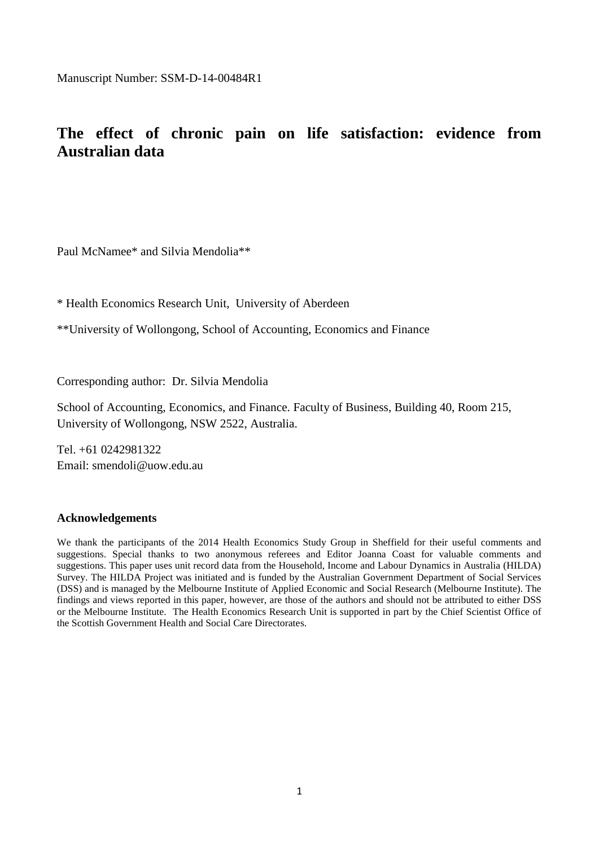Manuscript Number: SSM-D-14-00484R1

# **The effect of chronic pain on life satisfaction: evidence from Australian data**

Paul McNamee\* and Silvia Mendolia\*\*

\* Health Economics Research Unit, University of Aberdeen

\*\*University of Wollongong, School of Accounting, Economics and Finance

Corresponding author: Dr. Silvia Mendolia

School of Accounting, Economics, and Finance. Faculty of Business, Building 40, Room 215, University of Wollongong, NSW 2522, Australia.

Tel. +61 0242981322 Email: smendoli@uow.edu.au

#### **Acknowledgements**

We thank the participants of the 2014 Health Economics Study Group in Sheffield for their useful comments and suggestions. Special thanks to two anonymous referees and Editor Joanna Coast for valuable comments and suggestions. This paper uses unit record data from the Household, Income and Labour Dynamics in Australia (HILDA) Survey. The HILDA Project was initiated and is funded by the Australian Government Department of Social Services (DSS) and is managed by the Melbourne Institute of Applied Economic and Social Research (Melbourne Institute). The findings and views reported in this paper, however, are those of the authors and should not be attributed to either DSS or the Melbourne Institute. The Health Economics Research Unit is supported in part by the Chief Scientist Office of the Scottish Government Health and Social Care Directorates.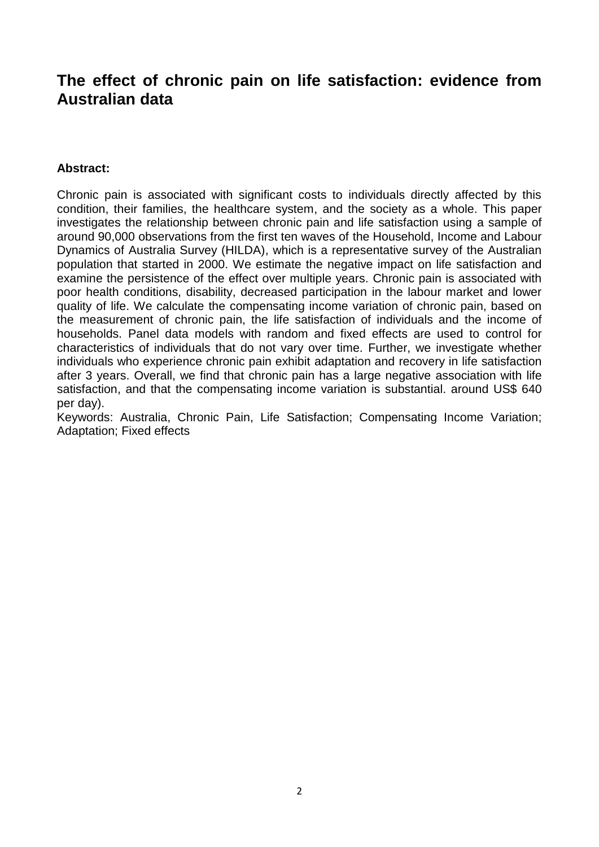# **The effect of chronic pain on life satisfaction: evidence from Australian data**

## **Abstract:**

Chronic pain is associated with significant costs to individuals directly affected by this condition, their families, the healthcare system, and the society as a whole. This paper investigates the relationship between chronic pain and life satisfaction using a sample of around 90,000 observations from the first ten waves of the Household, Income and Labour Dynamics of Australia Survey (HILDA), which is a representative survey of the Australian population that started in 2000. We estimate the negative impact on life satisfaction and examine the persistence of the effect over multiple years. Chronic pain is associated with poor health conditions, disability, decreased participation in the labour market and lower quality of life. We calculate the compensating income variation of chronic pain, based on the measurement of chronic pain, the life satisfaction of individuals and the income of households. Panel data models with random and fixed effects are used to control for characteristics of individuals that do not vary over time. Further, we investigate whether individuals who experience chronic pain exhibit adaptation and recovery in life satisfaction after 3 years. Overall, we find that chronic pain has a large negative association with life satisfaction, and that the compensating income variation is substantial. around US\$ 640 per day).

Keywords: Australia, Chronic Pain, Life Satisfaction; Compensating Income Variation; Adaptation; Fixed effects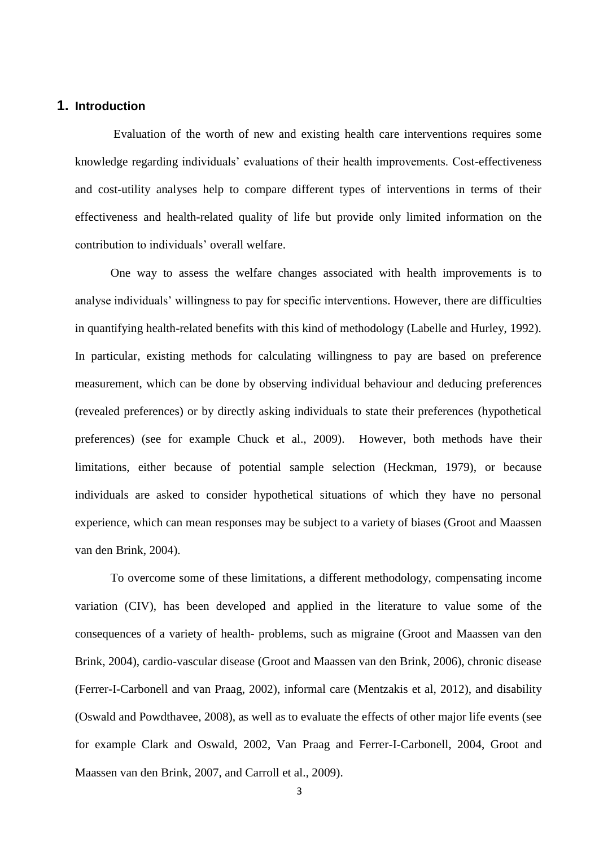### **1. Introduction**

Evaluation of the worth of new and existing health care interventions requires some knowledge regarding individuals' evaluations of their health improvements. Cost-effectiveness and cost-utility analyses help to compare different types of interventions in terms of their effectiveness and health-related quality of life but provide only limited information on the contribution to individuals' overall welfare.

One way to assess the welfare changes associated with health improvements is to analyse individuals' willingness to pay for specific interventions. However, there are difficulties in quantifying health-related benefits with this kind of methodology (Labelle and Hurley, 1992). In particular, existing methods for calculating willingness to pay are based on preference measurement, which can be done by observing individual behaviour and deducing preferences (revealed preferences) or by directly asking individuals to state their preferences (hypothetical preferences) (see for example Chuck et al., 2009). However, both methods have their limitations, either because of potential sample selection (Heckman, 1979), or because individuals are asked to consider hypothetical situations of which they have no personal experience, which can mean responses may be subject to a variety of biases (Groot and Maassen van den Brink, 2004).

To overcome some of these limitations, a different methodology, compensating income variation (CIV), has been developed and applied in the literature to value some of the consequences of a variety of health- problems, such as migraine (Groot and Maassen van den Brink, 2004), cardio-vascular disease (Groot and Maassen van den Brink, 2006), chronic disease (Ferrer-I-Carbonell and van Praag, 2002), informal care (Mentzakis et al, 2012), and disability (Oswald and Powdthavee, 2008), as well as to evaluate the effects of other major life events (see for example Clark and Oswald, 2002, Van Praag and Ferrer-I-Carbonell, 2004, Groot and Maassen van den Brink, 2007, and Carroll et al., 2009).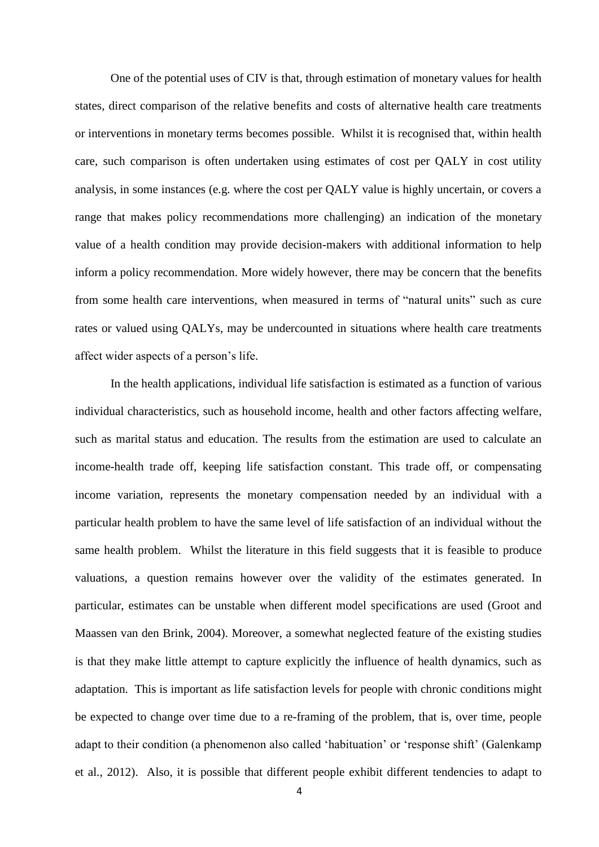One of the potential uses of CIV is that, through estimation of monetary values for health states, direct comparison of the relative benefits and costs of alternative health care treatments or interventions in monetary terms becomes possible. Whilst it is recognised that, within health care, such comparison is often undertaken using estimates of cost per QALY in cost utility analysis, in some instances (e.g. where the cost per QALY value is highly uncertain, or covers a range that makes policy recommendations more challenging) an indication of the monetary value of a health condition may provide decision-makers with additional information to help inform a policy recommendation. More widely however, there may be concern that the benefits from some health care interventions, when measured in terms of "natural units" such as cure rates or valued using QALYs, may be undercounted in situations where health care treatments affect wider aspects of a person's life.

In the health applications, individual life satisfaction is estimated as a function of various individual characteristics, such as household income, health and other factors affecting welfare, such as marital status and education. The results from the estimation are used to calculate an income-health trade off, keeping life satisfaction constant. This trade off, or compensating income variation, represents the monetary compensation needed by an individual with a particular health problem to have the same level of life satisfaction of an individual without the same health problem. Whilst the literature in this field suggests that it is feasible to produce valuations, a question remains however over the validity of the estimates generated. In particular, estimates can be unstable when different model specifications are used (Groot and Maassen van den Brink, 2004). Moreover, a somewhat neglected feature of the existing studies is that they make little attempt to capture explicitly the influence of health dynamics, such as adaptation. This is important as life satisfaction levels for people with chronic conditions might be expected to change over time due to a re-framing of the problem, that is, over time, people adapt to their condition (a phenomenon also called 'habituation' or 'response shift' (Galenkamp et al., 2012). Also, it is possible that different people exhibit different tendencies to adapt to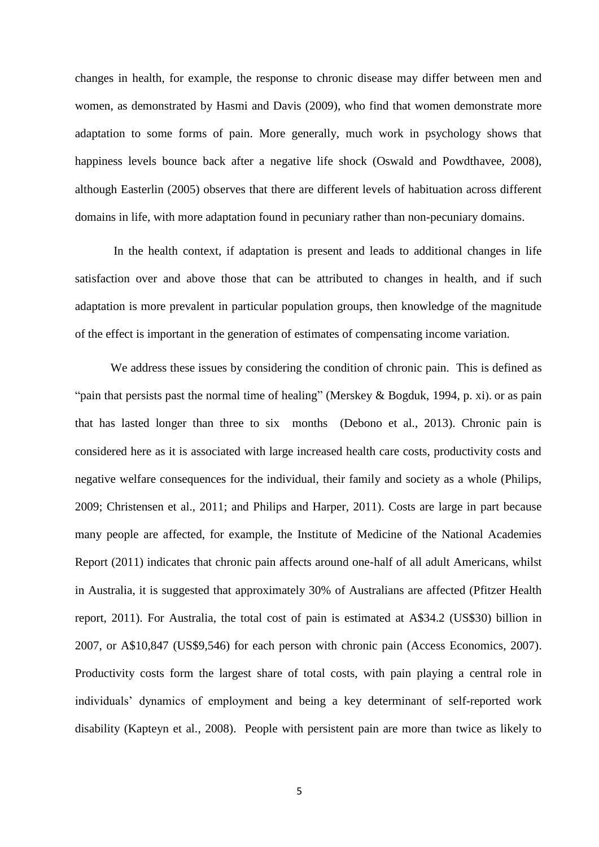changes in health, for example, the response to chronic disease may differ between men and women, as demonstrated by Hasmi and Davis (2009), who find that women demonstrate more adaptation to some forms of pain. More generally, much work in psychology shows that happiness levels bounce back after a negative life shock (Oswald and Powdthavee, 2008), although Easterlin (2005) observes that there are different levels of habituation across different domains in life, with more adaptation found in pecuniary rather than non-pecuniary domains.

In the health context, if adaptation is present and leads to additional changes in life satisfaction over and above those that can be attributed to changes in health, and if such adaptation is more prevalent in particular population groups, then knowledge of the magnitude of the effect is important in the generation of estimates of compensating income variation.

We address these issues by considering the condition of chronic pain. This is defined as "pain that persists past the normal time of healing" (Merskey & Bogduk, 1994, p. xi). or as pain that has lasted longer than three to six months (Debono et al., 2013). Chronic pain is considered here as it is associated with large increased health care costs, productivity costs and negative welfare consequences for the individual, their family and society as a whole (Philips, 2009; Christensen et al., 2011; and Philips and Harper, 2011). Costs are large in part because many people are affected, for example, the Institute of Medicine of the National Academies Report (2011) indicates that chronic pain affects around one-half of all adult Americans, whilst in Australia, it is suggested that approximately 30% of Australians are affected (Pfitzer Health report, 2011). For Australia, the total cost of pain is estimated at A\$34.2 (US\$30) billion in 2007, or A\$10,847 (US\$9,546) for each person with chronic pain (Access Economics, 2007). Productivity costs form the largest share of total costs, with pain playing a central role in individuals' dynamics of employment and being a key determinant of self-reported work disability (Kapteyn et al., 2008). People with persistent pain are more than twice as likely to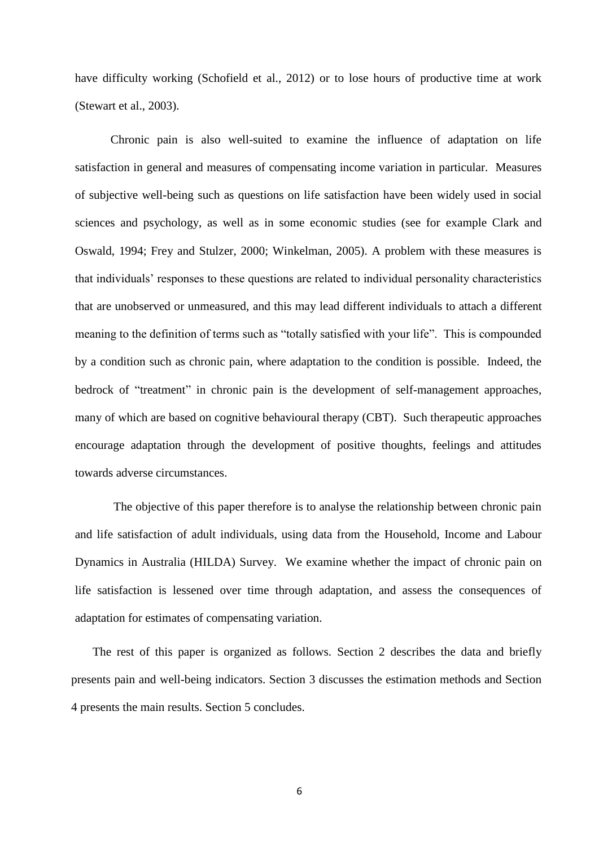have difficulty working (Schofield et al., 2012) or to lose hours of productive time at work (Stewart et al., 2003).

Chronic pain is also well-suited to examine the influence of adaptation on life satisfaction in general and measures of compensating income variation in particular. Measures of subjective well-being such as questions on life satisfaction have been widely used in social sciences and psychology, as well as in some economic studies (see for example Clark and Oswald, 1994; Frey and Stulzer, 2000; Winkelman, 2005). A problem with these measures is that individuals' responses to these questions are related to individual personality characteristics that are unobserved or unmeasured, and this may lead different individuals to attach a different meaning to the definition of terms such as "totally satisfied with your life". This is compounded by a condition such as chronic pain, where adaptation to the condition is possible. Indeed, the bedrock of "treatment" in chronic pain is the development of self-management approaches, many of which are based on cognitive behavioural therapy (CBT). Such therapeutic approaches encourage adaptation through the development of positive thoughts, feelings and attitudes towards adverse circumstances.

The objective of this paper therefore is to analyse the relationship between chronic pain and life satisfaction of adult individuals, using data from the Household, Income and Labour Dynamics in Australia (HILDA) Survey. We examine whether the impact of chronic pain on life satisfaction is lessened over time through adaptation, and assess the consequences of adaptation for estimates of compensating variation.

The rest of this paper is organized as follows. Section 2 describes the data and briefly presents pain and well-being indicators. Section 3 discusses the estimation methods and Section 4 presents the main results. Section 5 concludes.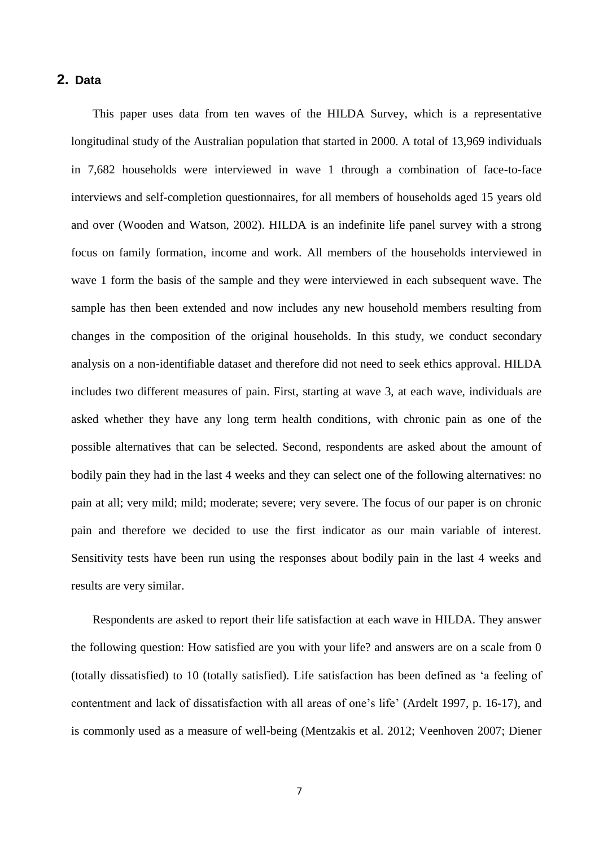## **2. Data**

This paper uses data from ten waves of the HILDA Survey, which is a representative longitudinal study of the Australian population that started in 2000. A total of 13,969 individuals in 7,682 households were interviewed in wave 1 through a combination of face-to-face interviews and self-completion questionnaires, for all members of households aged 15 years old and over (Wooden and Watson, 2002). HILDA is an indefinite life panel survey with a strong focus on family formation, income and work. All members of the households interviewed in wave 1 form the basis of the sample and they were interviewed in each subsequent wave. The sample has then been extended and now includes any new household members resulting from changes in the composition of the original households. In this study, we conduct secondary analysis on a non-identifiable dataset and therefore did not need to seek ethics approval. HILDA includes two different measures of pain. First, starting at wave 3, at each wave, individuals are asked whether they have any long term health conditions, with chronic pain as one of the possible alternatives that can be selected. Second, respondents are asked about the amount of bodily pain they had in the last 4 weeks and they can select one of the following alternatives: no pain at all; very mild; mild; moderate; severe; very severe. The focus of our paper is on chronic pain and therefore we decided to use the first indicator as our main variable of interest. Sensitivity tests have been run using the responses about bodily pain in the last 4 weeks and results are very similar.

Respondents are asked to report their life satisfaction at each wave in HILDA. They answer the following question: How satisfied are you with your life? and answers are on a scale from 0 (totally dissatisfied) to 10 (totally satisfied). Life satisfaction has been defined as 'a feeling of contentment and lack of dissatisfaction with all areas of one's life' (Ardelt 1997, p. 16-17), and is commonly used as a measure of well-being (Mentzakis et al. 2012; Veenhoven 2007; Diener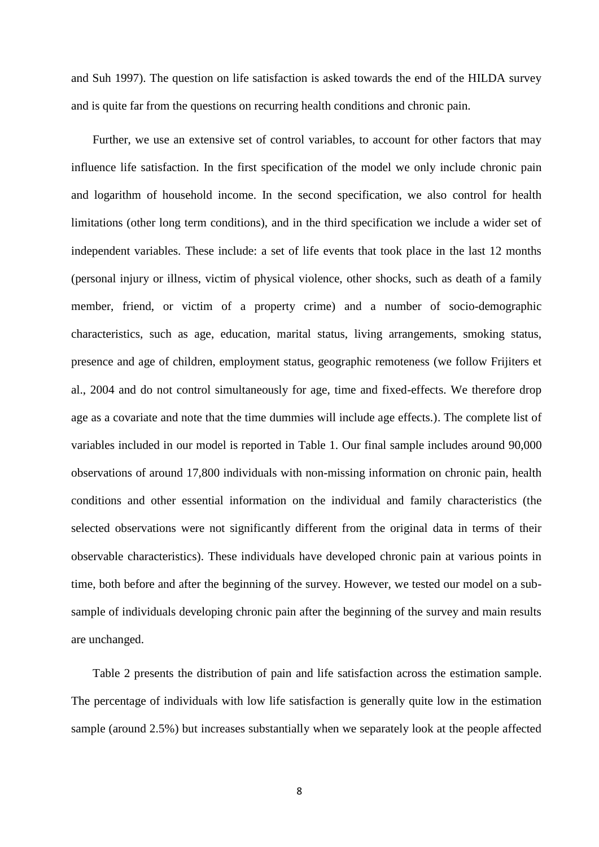and Suh 1997). The question on life satisfaction is asked towards the end of the HILDA survey and is quite far from the questions on recurring health conditions and chronic pain.

Further, we use an extensive set of control variables, to account for other factors that may influence life satisfaction. In the first specification of the model we only include chronic pain and logarithm of household income. In the second specification, we also control for health limitations (other long term conditions), and in the third specification we include a wider set of independent variables. These include: a set of life events that took place in the last 12 months (personal injury or illness, victim of physical violence, other shocks, such as death of a family member, friend, or victim of a property crime) and a number of socio-demographic characteristics, such as age, education, marital status, living arrangements, smoking status, presence and age of children, employment status, geographic remoteness (we follow Frijiters et al., 2004 and do not control simultaneously for age, time and fixed-effects. We therefore drop age as a covariate and note that the time dummies will include age effects.). The complete list of variables included in our model is reported in Table 1. Our final sample includes around 90,000 observations of around 17,800 individuals with non-missing information on chronic pain, health conditions and other essential information on the individual and family characteristics (the selected observations were not significantly different from the original data in terms of their observable characteristics). These individuals have developed chronic pain at various points in time, both before and after the beginning of the survey. However, we tested our model on a subsample of individuals developing chronic pain after the beginning of the survey and main results are unchanged.

Table 2 presents the distribution of pain and life satisfaction across the estimation sample. The percentage of individuals with low life satisfaction is generally quite low in the estimation sample (around 2.5%) but increases substantially when we separately look at the people affected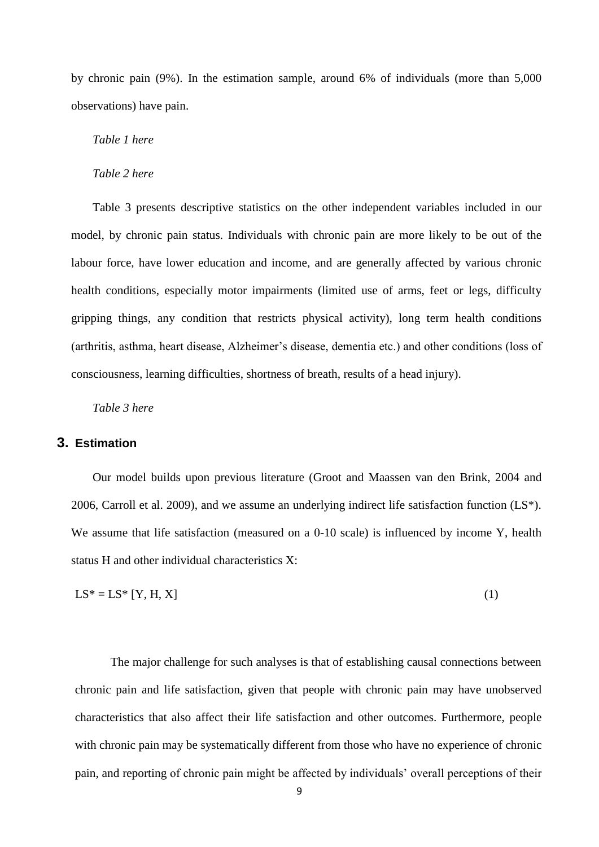by chronic pain (9%). In the estimation sample, around 6% of individuals (more than 5,000 observations) have pain.

*Table 1 here*

*Table 2 here*

Table 3 presents descriptive statistics on the other independent variables included in our model, by chronic pain status. Individuals with chronic pain are more likely to be out of the labour force, have lower education and income, and are generally affected by various chronic health conditions, especially motor impairments (limited use of arms, feet or legs, difficulty gripping things, any condition that restricts physical activity), long term health conditions (arthritis, asthma, heart disease, Alzheimer's disease, dementia etc.) and other conditions (loss of consciousness, learning difficulties, shortness of breath, results of a head injury).

*Table 3 here*

### **3. Estimation**

Our model builds upon previous literature (Groot and Maassen van den Brink, 2004 and 2006, Carroll et al. 2009), and we assume an underlying indirect life satisfaction function  $(LS^*)$ . We assume that life satisfaction (measured on a 0-10 scale) is influenced by income Y, health status H and other individual characteristics X:

$$
LS^* = LS^* [Y, H, X]
$$
 (1)

The major challenge for such analyses is that of establishing causal connections between chronic pain and life satisfaction, given that people with chronic pain may have unobserved characteristics that also affect their life satisfaction and other outcomes. Furthermore, people with chronic pain may be systematically different from those who have no experience of chronic pain, and reporting of chronic pain might be affected by individuals' overall perceptions of their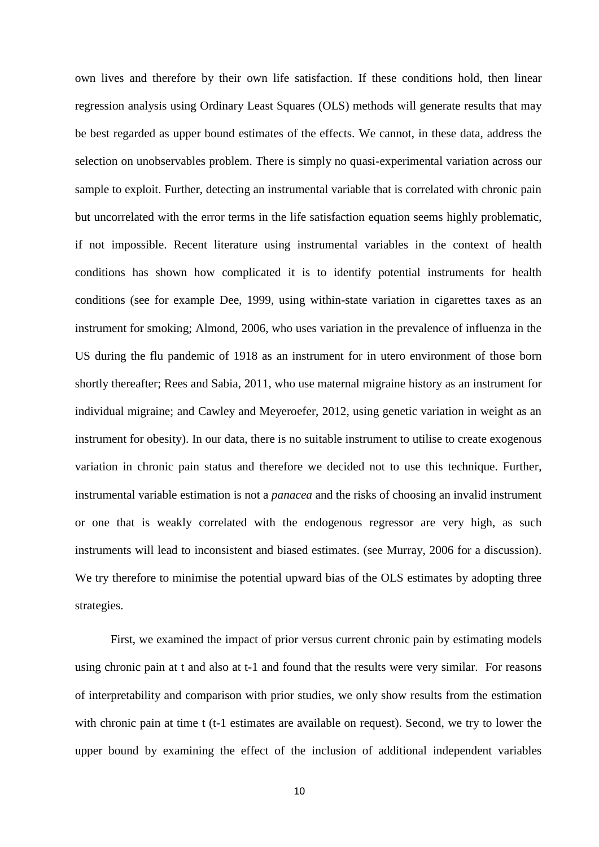own lives and therefore by their own life satisfaction. If these conditions hold, then linear regression analysis using Ordinary Least Squares (OLS) methods will generate results that may be best regarded as upper bound estimates of the effects. We cannot, in these data, address the selection on unobservables problem. There is simply no quasi-experimental variation across our sample to exploit. Further, detecting an instrumental variable that is correlated with chronic pain but uncorrelated with the error terms in the life satisfaction equation seems highly problematic, if not impossible. Recent literature using instrumental variables in the context of health conditions has shown how complicated it is to identify potential instruments for health conditions (see for example Dee, 1999, using within-state variation in cigarettes taxes as an instrument for smoking; Almond, 2006, who uses variation in the prevalence of influenza in the US during the flu pandemic of 1918 as an instrument for in utero environment of those born shortly thereafter; Rees and Sabia, 2011, who use maternal migraine history as an instrument for individual migraine; and Cawley and Meyeroefer, 2012, using genetic variation in weight as an instrument for obesity). In our data, there is no suitable instrument to utilise to create exogenous variation in chronic pain status and therefore we decided not to use this technique. Further, instrumental variable estimation is not a *panacea* and the risks of choosing an invalid instrument or one that is weakly correlated with the endogenous regressor are very high, as such instruments will lead to inconsistent and biased estimates. (see Murray, 2006 for a discussion). We try therefore to minimise the potential upward bias of the OLS estimates by adopting three strategies.

First, we examined the impact of prior versus current chronic pain by estimating models using chronic pain at t and also at t-1 and found that the results were very similar. For reasons of interpretability and comparison with prior studies, we only show results from the estimation with chronic pain at time t (t-1 estimates are available on request). Second, we try to lower the upper bound by examining the effect of the inclusion of additional independent variables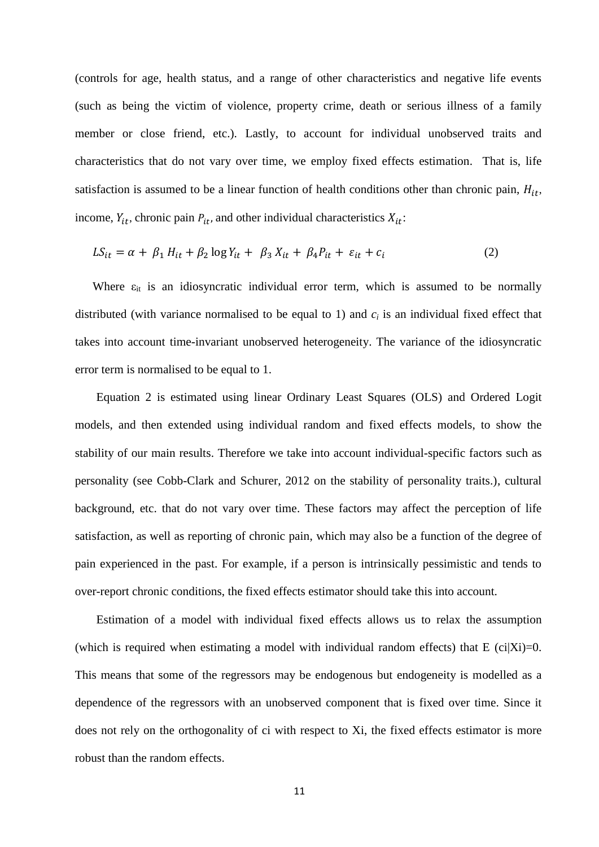(controls for age, health status, and a range of other characteristics and negative life events (such as being the victim of violence, property crime, death or serious illness of a family member or close friend, etc.). Lastly, to account for individual unobserved traits and characteristics that do not vary over time, we employ fixed effects estimation. That is, life satisfaction is assumed to be a linear function of health conditions other than chronic pain,  $H_{it}$ , income,  $Y_{it}$ , chronic pain  $P_{it}$ , and other individual characteristics  $X_{it}$ :

$$
LS_{it} = \alpha + \beta_1 H_{it} + \beta_2 \log Y_{it} + \beta_3 X_{it} + \beta_4 P_{it} + \varepsilon_{it} + c_i
$$
 (2)

Where  $\varepsilon_{it}$  is an idiosyncratic individual error term, which is assumed to be normally distributed (with variance normalised to be equal to 1) and  $c_i$  is an individual fixed effect that takes into account time-invariant unobserved heterogeneity. The variance of the idiosyncratic error term is normalised to be equal to 1.

Equation 2 is estimated using linear Ordinary Least Squares (OLS) and Ordered Logit models, and then extended using individual random and fixed effects models, to show the stability of our main results. Therefore we take into account individual-specific factors such as personality (see Cobb-Clark and Schurer, 2012 on the stability of personality traits.), cultural background, etc. that do not vary over time. These factors may affect the perception of life satisfaction, as well as reporting of chronic pain, which may also be a function of the degree of pain experienced in the past. For example, if a person is intrinsically pessimistic and tends to over-report chronic conditions, the fixed effects estimator should take this into account.

Estimation of a model with individual fixed effects allows us to relax the assumption (which is required when estimating a model with individual random effects) that  $E$  (ci|Xi)=0. This means that some of the regressors may be endogenous but endogeneity is modelled as a dependence of the regressors with an unobserved component that is fixed over time. Since it does not rely on the orthogonality of ci with respect to Xi, the fixed effects estimator is more robust than the random effects.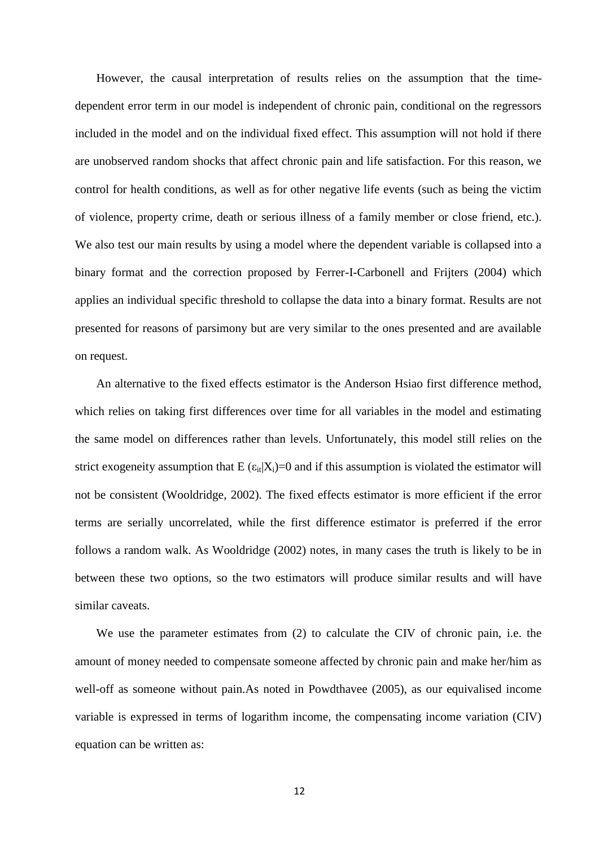However, the causal interpretation of results relies on the assumption that the timedependent error term in our model is independent of chronic pain, conditional on the regressors included in the model and on the individual fixed effect. This assumption will not hold if there are unobserved random shocks that affect chronic pain and life satisfaction. For this reason, we control for health conditions, as well as for other negative life events (such as being the victim of violence, property crime, death or serious illness of a family member or close friend, etc.). We also test our main results by using a model where the dependent variable is collapsed into a binary format and the correction proposed by Ferrer-I-Carbonell and Frijters (2004) which applies an individual specific threshold to collapse the data into a binary format. Results are not presented for reasons of parsimony but are very similar to the ones presented and are available on request.

An alternative to the fixed effects estimator is the Anderson Hsiao first difference method, which relies on taking first differences over time for all variables in the model and estimating the same model on differences rather than levels. Unfortunately, this model still relies on the strict exogeneity assumption that  $E(\epsilon_{it}|X_i)=0$  and if this assumption is violated the estimator will not be consistent (Wooldridge, 2002). The fixed effects estimator is more efficient if the error terms are serially uncorrelated, while the first difference estimator is preferred if the error follows a random walk. As Wooldridge (2002) notes, in many cases the truth is likely to be in between these two options, so the two estimators will produce similar results and will have similar caveats.

We use the parameter estimates from (2) to calculate the CIV of chronic pain, i.e. the amount of money needed to compensate someone affected by chronic pain and make her/him as well-off as someone without pain.As noted in Powdthavee (2005), as our equivalised income variable is expressed in terms of logarithm income, the compensating income variation (CIV) equation can be written as: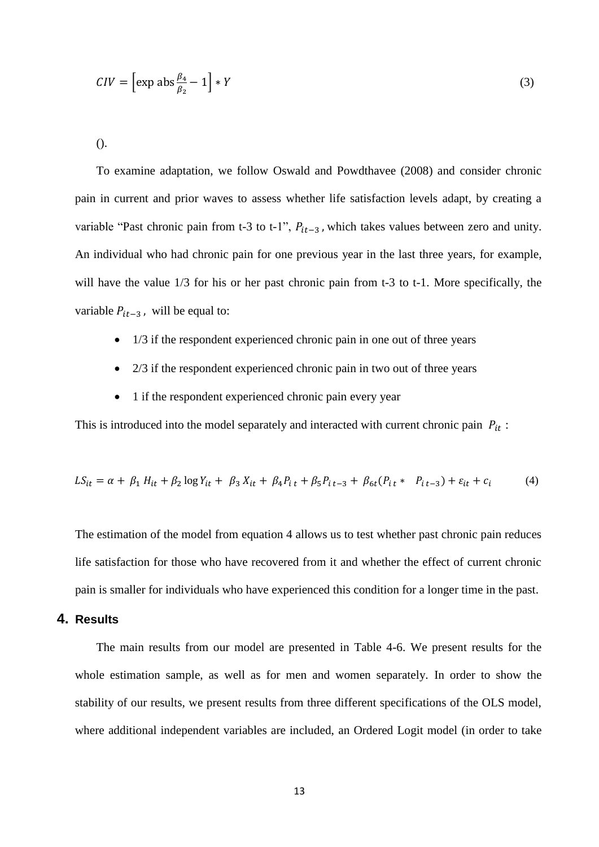$$
CIV = \left[\exp \text{abs} \frac{\beta_4}{\beta_2} - 1\right] * Y \tag{3}
$$

().

To examine adaptation, we follow Oswald and Powdthavee (2008) and consider chronic pain in current and prior waves to assess whether life satisfaction levels adapt, by creating a variable "Past chronic pain from t-3 to t-1",  $P_{it-3}$ , which takes values between zero and unity. An individual who had chronic pain for one previous year in the last three years, for example, will have the value  $1/3$  for his or her past chronic pain from t-3 to t-1. More specifically, the variable  $P_{it-3}$ , will be equal to:

- 1/3 if the respondent experienced chronic pain in one out of three years
- 2/3 if the respondent experienced chronic pain in two out of three years
- 1 if the respondent experienced chronic pain every year

This is introduced into the model separately and interacted with current chronic pain  $P_{it}$ :

$$
LS_{it} = \alpha + \beta_1 H_{it} + \beta_2 \log Y_{it} + \beta_3 X_{it} + \beta_4 P_{it} + \beta_5 P_{it-3} + \beta_6 (P_{it} * P_{it-3}) + \varepsilon_{it} + c_i
$$
 (4)

The estimation of the model from equation 4 allows us to test whether past chronic pain reduces life satisfaction for those who have recovered from it and whether the effect of current chronic pain is smaller for individuals who have experienced this condition for a longer time in the past.

### **4. Results**

The main results from our model are presented in Table 4-6. We present results for the whole estimation sample, as well as for men and women separately. In order to show the stability of our results, we present results from three different specifications of the OLS model, where additional independent variables are included, an Ordered Logit model (in order to take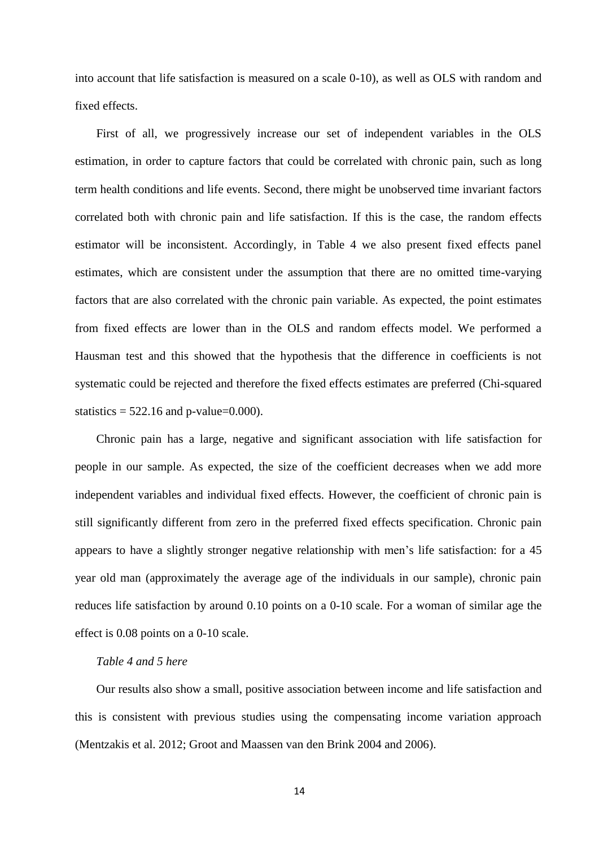into account that life satisfaction is measured on a scale 0-10), as well as OLS with random and fixed effects.

First of all, we progressively increase our set of independent variables in the OLS estimation, in order to capture factors that could be correlated with chronic pain, such as long term health conditions and life events. Second, there might be unobserved time invariant factors correlated both with chronic pain and life satisfaction. If this is the case, the random effects estimator will be inconsistent. Accordingly, in Table 4 we also present fixed effects panel estimates, which are consistent under the assumption that there are no omitted time-varying factors that are also correlated with the chronic pain variable. As expected, the point estimates from fixed effects are lower than in the OLS and random effects model. We performed a Hausman test and this showed that the hypothesis that the difference in coefficients is not systematic could be rejected and therefore the fixed effects estimates are preferred (Chi-squared statistics  $= 522.16$  and p-value=0.000).

Chronic pain has a large, negative and significant association with life satisfaction for people in our sample. As expected, the size of the coefficient decreases when we add more independent variables and individual fixed effects. However, the coefficient of chronic pain is still significantly different from zero in the preferred fixed effects specification. Chronic pain appears to have a slightly stronger negative relationship with men's life satisfaction: for a 45 year old man (approximately the average age of the individuals in our sample), chronic pain reduces life satisfaction by around 0.10 points on a 0-10 scale. For a woman of similar age the effect is 0.08 points on a 0-10 scale.

### *Table 4 and 5 here*

Our results also show a small, positive association between income and life satisfaction and this is consistent with previous studies using the compensating income variation approach (Mentzakis et al. 2012; Groot and Maassen van den Brink 2004 and 2006).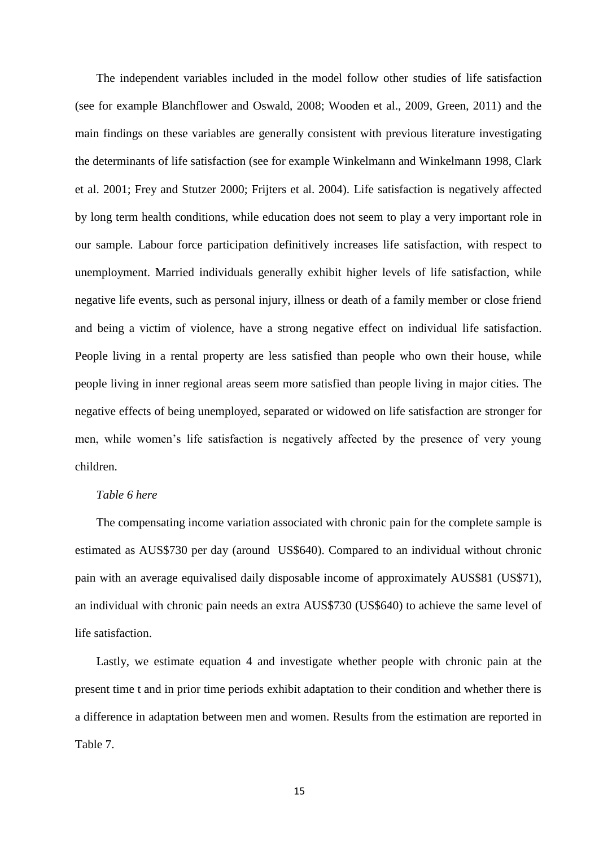The independent variables included in the model follow other studies of life satisfaction (see for example Blanchflower and Oswald, 2008; Wooden et al., 2009, Green, 2011) and the main findings on these variables are generally consistent with previous literature investigating the determinants of life satisfaction (see for example Winkelmann and Winkelmann 1998, Clark et al. 2001; Frey and Stutzer 2000; Frijters et al. 2004). Life satisfaction is negatively affected by long term health conditions, while education does not seem to play a very important role in our sample. Labour force participation definitively increases life satisfaction, with respect to unemployment. Married individuals generally exhibit higher levels of life satisfaction, while negative life events, such as personal injury, illness or death of a family member or close friend and being a victim of violence, have a strong negative effect on individual life satisfaction. People living in a rental property are less satisfied than people who own their house, while people living in inner regional areas seem more satisfied than people living in major cities. The negative effects of being unemployed, separated or widowed on life satisfaction are stronger for men, while women's life satisfaction is negatively affected by the presence of very young children.

#### *Table 6 here*

The compensating income variation associated with chronic pain for the complete sample is estimated as AUS\$730 per day (around US\$640). Compared to an individual without chronic pain with an average equivalised daily disposable income of approximately AUS\$81 (US\$71), an individual with chronic pain needs an extra AUS\$730 (US\$640) to achieve the same level of life satisfaction.

Lastly, we estimate equation 4 and investigate whether people with chronic pain at the present time t and in prior time periods exhibit adaptation to their condition and whether there is a difference in adaptation between men and women. Results from the estimation are reported in Table 7.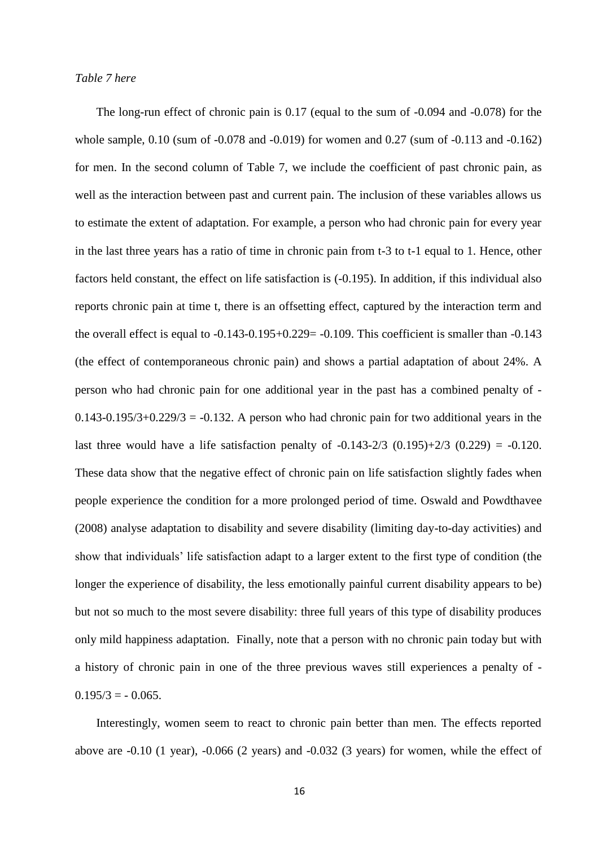#### *Table 7 here*

The long-run effect of chronic pain is 0.17 (equal to the sum of -0.094 and -0.078) for the whole sample, 0.10 (sum of -0.078 and -0.019) for women and 0.27 (sum of -0.113 and -0.162) for men. In the second column of Table 7, we include the coefficient of past chronic pain, as well as the interaction between past and current pain. The inclusion of these variables allows us to estimate the extent of adaptation. For example, a person who had chronic pain for every year in the last three years has a ratio of time in chronic pain from t-3 to t-1 equal to 1. Hence, other factors held constant, the effect on life satisfaction is (-0.195). In addition, if this individual also reports chronic pain at time t, there is an offsetting effect, captured by the interaction term and the overall effect is equal to -0.143-0.195+0.229= -0.109. This coefficient is smaller than -0.143 (the effect of contemporaneous chronic pain) and shows a partial adaptation of about 24%. A person who had chronic pain for one additional year in the past has a combined penalty of -  $0.143-0.195/3+0.229/3 = -0.132$ . A person who had chronic pain for two additional years in the last three would have a life satisfaction penalty of  $-0.143-2/3$   $(0.195)+2/3$   $(0.229) = -0.120$ . These data show that the negative effect of chronic pain on life satisfaction slightly fades when people experience the condition for a more prolonged period of time. Oswald and Powdthavee (2008) analyse adaptation to disability and severe disability (limiting day-to-day activities) and show that individuals' life satisfaction adapt to a larger extent to the first type of condition (the longer the experience of disability, the less emotionally painful current disability appears to be) but not so much to the most severe disability: three full years of this type of disability produces only mild happiness adaptation. Finally, note that a person with no chronic pain today but with a history of chronic pain in one of the three previous waves still experiences a penalty of -  $0.195/3 = -0.065$ .

Interestingly, women seem to react to chronic pain better than men. The effects reported above are -0.10 (1 year), -0.066 (2 years) and -0.032 (3 years) for women, while the effect of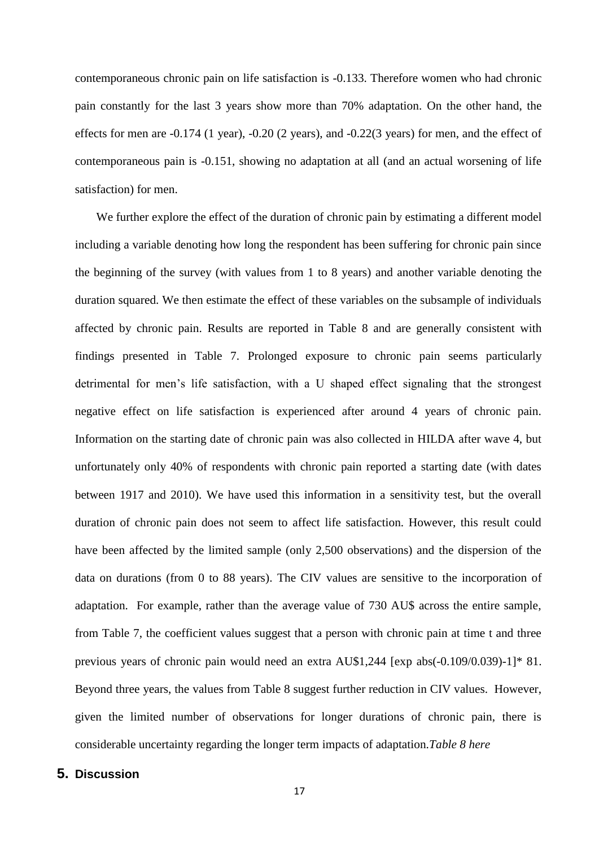contemporaneous chronic pain on life satisfaction is -0.133. Therefore women who had chronic pain constantly for the last 3 years show more than 70% adaptation. On the other hand, the effects for men are -0.174 (1 year), -0.20 (2 years), and -0.22(3 years) for men, and the effect of contemporaneous pain is -0.151, showing no adaptation at all (and an actual worsening of life satisfaction) for men.

We further explore the effect of the duration of chronic pain by estimating a different model including a variable denoting how long the respondent has been suffering for chronic pain since the beginning of the survey (with values from 1 to 8 years) and another variable denoting the duration squared. We then estimate the effect of these variables on the subsample of individuals affected by chronic pain. Results are reported in Table 8 and are generally consistent with findings presented in Table 7. Prolonged exposure to chronic pain seems particularly detrimental for men's life satisfaction, with a U shaped effect signaling that the strongest negative effect on life satisfaction is experienced after around 4 years of chronic pain. Information on the starting date of chronic pain was also collected in HILDA after wave 4, but unfortunately only 40% of respondents with chronic pain reported a starting date (with dates between 1917 and 2010). We have used this information in a sensitivity test, but the overall duration of chronic pain does not seem to affect life satisfaction. However, this result could have been affected by the limited sample (only 2,500 observations) and the dispersion of the data on durations (from 0 to 88 years). The CIV values are sensitive to the incorporation of adaptation. For example, rather than the average value of 730 AU\$ across the entire sample, from Table 7, the coefficient values suggest that a person with chronic pain at time t and three previous years of chronic pain would need an extra AU\$1,244 [exp abs(-0.109/0.039)-1]\* 81. Beyond three years, the values from Table 8 suggest further reduction in CIV values. However, given the limited number of observations for longer durations of chronic pain, there is considerable uncertainty regarding the longer term impacts of adaptation.*Table 8 here*

## **5. Discussion**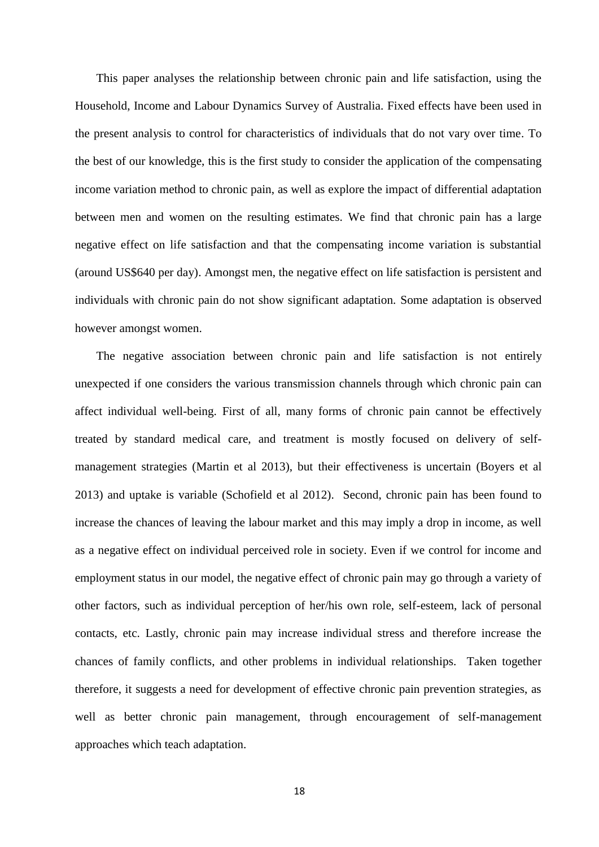This paper analyses the relationship between chronic pain and life satisfaction, using the Household, Income and Labour Dynamics Survey of Australia. Fixed effects have been used in the present analysis to control for characteristics of individuals that do not vary over time. To the best of our knowledge, this is the first study to consider the application of the compensating income variation method to chronic pain, as well as explore the impact of differential adaptation between men and women on the resulting estimates. We find that chronic pain has a large negative effect on life satisfaction and that the compensating income variation is substantial (around US\$640 per day). Amongst men, the negative effect on life satisfaction is persistent and individuals with chronic pain do not show significant adaptation. Some adaptation is observed however amongst women.

The negative association between chronic pain and life satisfaction is not entirely unexpected if one considers the various transmission channels through which chronic pain can affect individual well-being. First of all, many forms of chronic pain cannot be effectively treated by standard medical care, and treatment is mostly focused on delivery of selfmanagement strategies (Martin et al 2013), but their effectiveness is uncertain (Boyers et al 2013) and uptake is variable (Schofield et al 2012). Second, chronic pain has been found to increase the chances of leaving the labour market and this may imply a drop in income, as well as a negative effect on individual perceived role in society. Even if we control for income and employment status in our model, the negative effect of chronic pain may go through a variety of other factors, such as individual perception of her/his own role, self-esteem, lack of personal contacts, etc. Lastly, chronic pain may increase individual stress and therefore increase the chances of family conflicts, and other problems in individual relationships. Taken together therefore, it suggests a need for development of effective chronic pain prevention strategies, as well as better chronic pain management, through encouragement of self-management approaches which teach adaptation.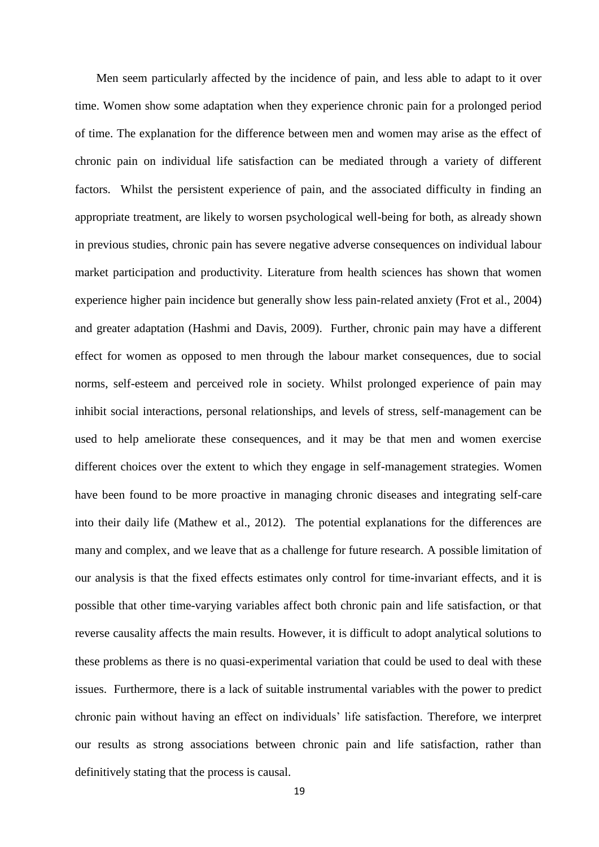Men seem particularly affected by the incidence of pain, and less able to adapt to it over time. Women show some adaptation when they experience chronic pain for a prolonged period of time. The explanation for the difference between men and women may arise as the effect of chronic pain on individual life satisfaction can be mediated through a variety of different factors. Whilst the persistent experience of pain, and the associated difficulty in finding an appropriate treatment, are likely to worsen psychological well-being for both, as already shown in previous studies, chronic pain has severe negative adverse consequences on individual labour market participation and productivity. Literature from health sciences has shown that women experience higher pain incidence but generally show less pain-related anxiety (Frot et al., 2004) and greater adaptation (Hashmi and Davis, 2009). Further, chronic pain may have a different effect for women as opposed to men through the labour market consequences, due to social norms, self-esteem and perceived role in society. Whilst prolonged experience of pain may inhibit social interactions, personal relationships, and levels of stress, self-management can be used to help ameliorate these consequences, and it may be that men and women exercise different choices over the extent to which they engage in self-management strategies. Women have been found to be more proactive in managing chronic diseases and integrating self-care into their daily life (Mathew et al., 2012). The potential explanations for the differences are many and complex, and we leave that as a challenge for future research. A possible limitation of our analysis is that the fixed effects estimates only control for time-invariant effects, and it is possible that other time-varying variables affect both chronic pain and life satisfaction, or that reverse causality affects the main results. However, it is difficult to adopt analytical solutions to these problems as there is no quasi-experimental variation that could be used to deal with these issues. Furthermore, there is a lack of suitable instrumental variables with the power to predict chronic pain without having an effect on individuals' life satisfaction. Therefore, we interpret our results as strong associations between chronic pain and life satisfaction, rather than definitively stating that the process is causal.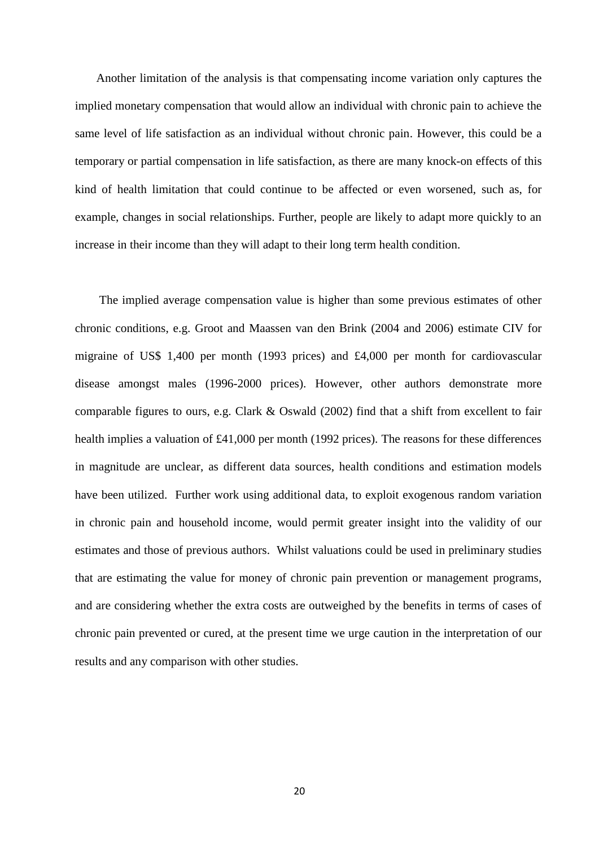Another limitation of the analysis is that compensating income variation only captures the implied monetary compensation that would allow an individual with chronic pain to achieve the same level of life satisfaction as an individual without chronic pain. However, this could be a temporary or partial compensation in life satisfaction, as there are many knock-on effects of this kind of health limitation that could continue to be affected or even worsened, such as, for example, changes in social relationships. Further, people are likely to adapt more quickly to an increase in their income than they will adapt to their long term health condition.

The implied average compensation value is higher than some previous estimates of other chronic conditions, e.g. Groot and Maassen van den Brink (2004 and 2006) estimate CIV for migraine of US\$ 1,400 per month (1993 prices) and £4,000 per month for cardiovascular disease amongst males (1996-2000 prices). However, other authors demonstrate more comparable figures to ours, e.g. Clark & Oswald (2002) find that a shift from excellent to fair health implies a valuation of £41,000 per month (1992 prices). The reasons for these differences in magnitude are unclear, as different data sources, health conditions and estimation models have been utilized. Further work using additional data, to exploit exogenous random variation in chronic pain and household income, would permit greater insight into the validity of our estimates and those of previous authors. Whilst valuations could be used in preliminary studies that are estimating the value for money of chronic pain prevention or management programs, and are considering whether the extra costs are outweighed by the benefits in terms of cases of chronic pain prevented or cured, at the present time we urge caution in the interpretation of our results and any comparison with other studies.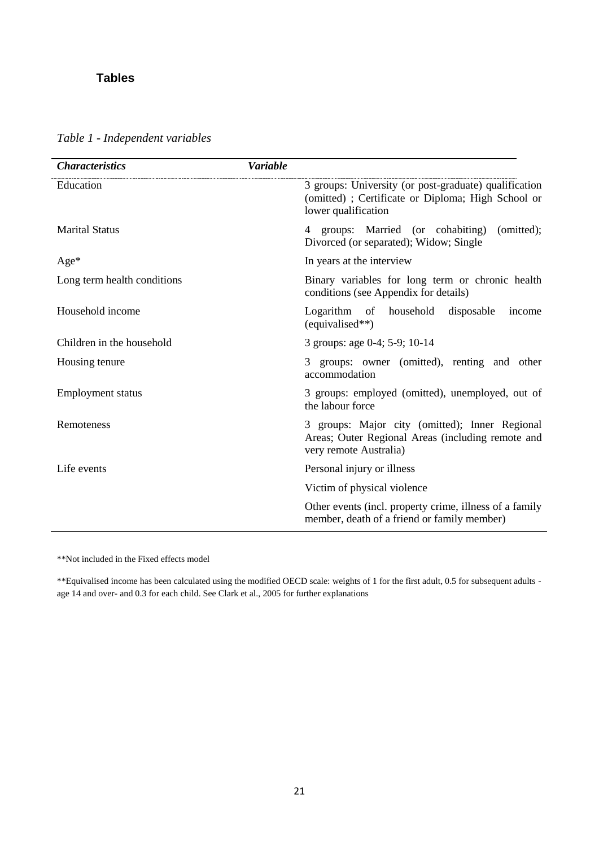## **Tables**

*Table 1 - Independent variables*

| <b>Characteristics</b>      | <b>Variable</b>                                                                                                                   |
|-----------------------------|-----------------------------------------------------------------------------------------------------------------------------------|
| Education                   | 3 groups: University (or post-graduate) qualification<br>(omitted); Certificate or Diploma; High School or<br>lower qualification |
| <b>Marital Status</b>       | 4 groups: Married (or cohabiting)<br>(omitted);<br>Divorced (or separated); Widow; Single                                         |
| Age*                        | In years at the interview                                                                                                         |
| Long term health conditions | Binary variables for long term or chronic health<br>conditions (see Appendix for details)                                         |
| Household income            | Logarithm of household<br>disposable<br>income<br>(equivalised**)                                                                 |
| Children in the household   | 3 groups: age 0-4; 5-9; 10-14                                                                                                     |
| Housing tenure              | 3 groups: owner (omitted), renting and other<br>accommodation                                                                     |
| <b>Employment status</b>    | 3 groups: employed (omitted), unemployed, out of<br>the labour force                                                              |
| Remoteness                  | 3 groups: Major city (omitted); Inner Regional<br>Areas; Outer Regional Areas (including remote and<br>very remote Australia)     |
| Life events                 | Personal injury or illness                                                                                                        |
|                             | Victim of physical violence                                                                                                       |
|                             | Other events (incl. property crime, illness of a family<br>member, death of a friend or family member)                            |

\*\*Not included in the Fixed effects model

\*\*Equivalised income has been calculated using the modified OECD scale: weights of 1 for the first adult, 0.5 for subsequent adults age 14 and over- and 0.3 for each child. See Clark et al., 2005 for further explanations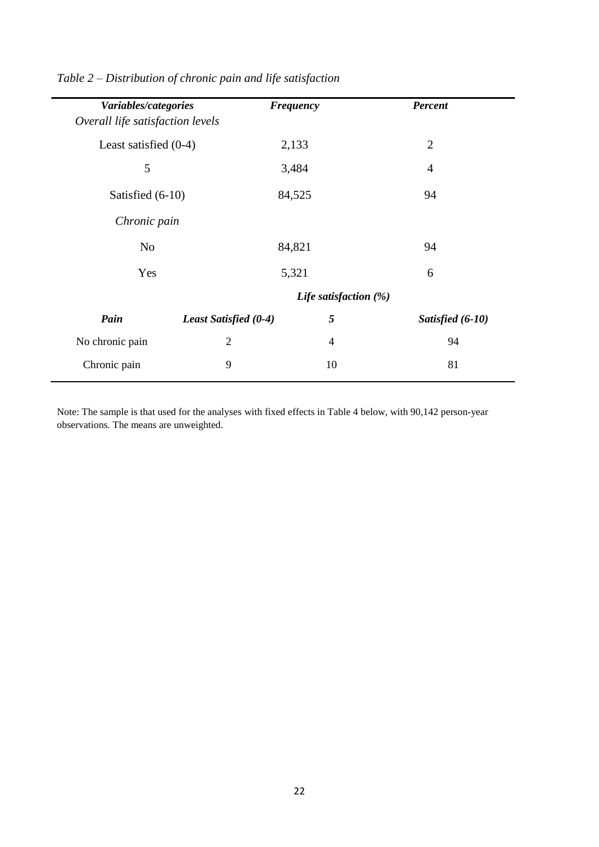| Variables/categories             |                       | <b>Frequency</b>      | <b>Percent</b>   |
|----------------------------------|-----------------------|-----------------------|------------------|
| Overall life satisfaction levels |                       |                       |                  |
| Least satisfied $(0-4)$          |                       | 2,133                 | $\overline{2}$   |
| 5                                |                       | 3,484                 | $\overline{4}$   |
| Satisfied (6-10)                 |                       | 84,525                | 94               |
| Chronic pain                     |                       |                       |                  |
| N <sub>o</sub>                   |                       | 84,821                | 94               |
| Yes                              |                       | 5,321                 | 6                |
|                                  |                       | Life satisfaction (%) |                  |
| Pain                             | Least Satisfied (0-4) | 5                     | Satisfied (6-10) |
| No chronic pain                  | $\overline{2}$        | $\overline{4}$        | 94               |
| Chronic pain                     | 9                     | 10                    | 81               |
|                                  |                       |                       |                  |

*Table 2 – Distribution of chronic pain and life satisfaction*

 $\overline{\phantom{0}}$ 

Note: The sample is that used for the analyses with fixed effects in Table 4 below, with 90,142 person-year observations. The means are unweighted.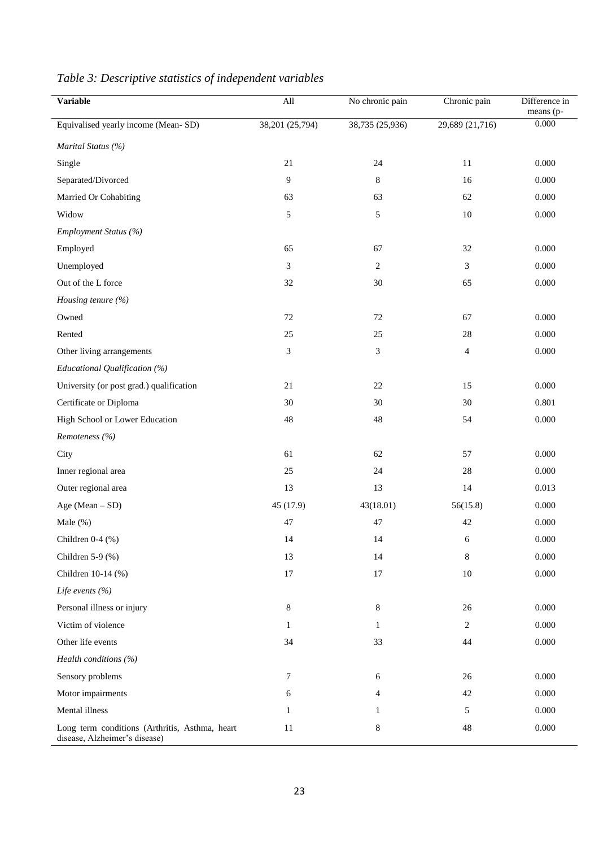| <b>Variable</b>                                                                 | All             | No chronic pain | Chronic pain    | Difference in<br>means (p- |
|---------------------------------------------------------------------------------|-----------------|-----------------|-----------------|----------------------------|
| Equivalised yearly income (Mean-SD)                                             | 38,201 (25,794) | 38,735 (25,936) | 29,689 (21,716) | 0.000                      |
| Marital Status (%)                                                              |                 |                 |                 |                            |
| Single                                                                          | 21              | 24              | 11              | 0.000                      |
| Separated/Divorced                                                              | 9               | 8               | 16              | 0.000                      |
| Married Or Cohabiting                                                           | 63              | 63              | 62              | 0.000                      |
| Widow                                                                           | 5               | 5               | $10\,$          | 0.000                      |
| Employment Status (%)                                                           |                 |                 |                 |                            |
| Employed                                                                        | 65              | 67              | 32              | 0.000                      |
| Unemployed                                                                      | 3               | $\overline{c}$  | 3               | 0.000                      |
| Out of the L force                                                              | 32              | 30              | 65              | 0.000                      |
| Housing tenure (%)                                                              |                 |                 |                 |                            |
| Owned                                                                           | 72              | $72\,$          | 67              | 0.000                      |
| Rented                                                                          | 25              | 25              | 28              | 0.000                      |
| Other living arrangements                                                       | 3               | 3               | $\overline{4}$  | 0.000                      |
| Educational Qualification (%)                                                   |                 |                 |                 |                            |
| University (or post grad.) qualification                                        | 21              | $22\,$          | 15              | 0.000                      |
| Certificate or Diploma                                                          | 30              | 30              | 30              | 0.801                      |
| High School or Lower Education                                                  | $48\,$          | 48              | 54              | 0.000                      |
| Remoteness (%)                                                                  |                 |                 |                 |                            |
| City                                                                            | 61              | 62              | 57              | 0.000                      |
| Inner regional area                                                             | 25              | 24              | 28              | 0.000                      |
| Outer regional area                                                             | 13              | 13              | 14              | 0.013                      |
| Age (Mean - SD)                                                                 | 45 (17.9)       | 43(18.01)       | 56(15.8)        | 0.000                      |
| Male $(\%)$                                                                     | 47              | 47              | 42              | 0.000                      |
| Children 0-4 (%)                                                                | 14              | 14              | 6               | 0.000                      |
| Children 5-9 $(\% )$                                                            | 13              | 14              | $\,8\,$         | 0.000                      |
| Children 10-14 (%)                                                              | $17\,$          | $17\,$          | $10\,$          | 0.000                      |
| Life events $(\% )$                                                             |                 |                 |                 |                            |
| Personal illness or injury                                                      | 8               | 8               | 26              | 0.000                      |
| Victim of violence                                                              | 1               | 1               | $\overline{2}$  | 0.000                      |
| Other life events                                                               | 34              | 33              | 44              | 0.000                      |
| Health conditions (%)                                                           |                 |                 |                 |                            |
| Sensory problems                                                                | 7               | 6               | 26              | 0.000                      |
| Motor impairments                                                               | 6               | 4               | 42              | 0.000                      |
| Mental illness                                                                  | 1               | 1               | 5               | 0.000                      |
| Long term conditions (Arthritis, Asthma, heart<br>disease, Alzheimer's disease) | 11              | 8               | 48              | 0.000                      |

# *Table 3: Descriptive statistics of independent variables*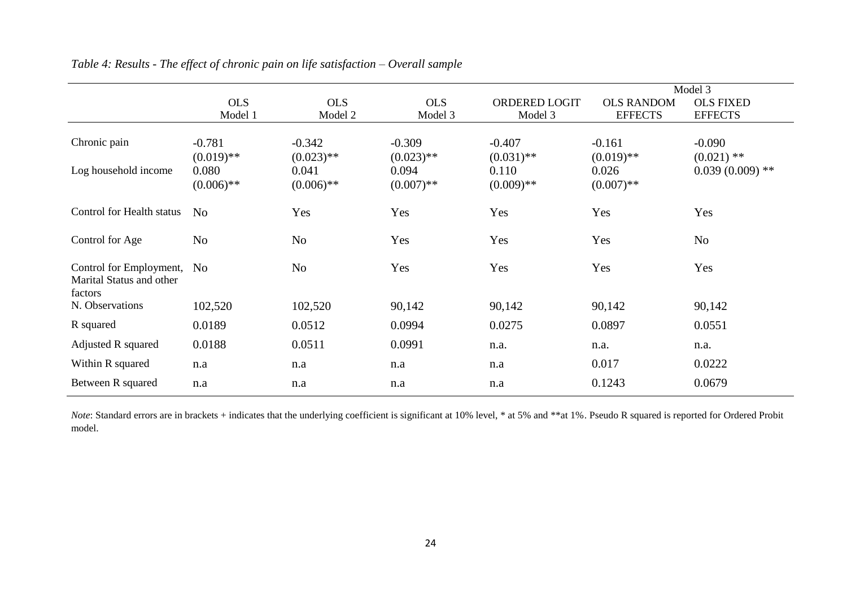|                                                                |                          |                          |                          |                          |                          | Model 3                  |
|----------------------------------------------------------------|--------------------------|--------------------------|--------------------------|--------------------------|--------------------------|--------------------------|
|                                                                | <b>OLS</b>               | <b>OLS</b>               | <b>OLS</b>               | ORDERED LOGIT            | <b>OLS RANDOM</b>        | <b>OLS FIXED</b>         |
|                                                                | Model 1                  | Model 2                  | Model 3                  | Model 3                  | <b>EFFECTS</b>           | <b>EFFECTS</b>           |
| Chronic pain                                                   | $-0.781$<br>$(0.019)$ ** | $-0.342$<br>$(0.023)$ ** | $-0.309$<br>$(0.023)$ ** | $-0.407$<br>$(0.031)$ ** | $-0.161$<br>$(0.019)$ ** | $-0.090$<br>$(0.021)$ ** |
| Log household income                                           | 0.080<br>$(0.006)$ **    | 0.041<br>$(0.006)$ **    | 0.094<br>$(0.007)$ **    | 0.110<br>$(0.009)$ **    | 0.026<br>$(0.007)$ **    | $0.039(0.009)$ **        |
| Control for Health status                                      | N <sub>o</sub>           | Yes                      | Yes                      | Yes                      | Yes                      | Yes                      |
| Control for Age                                                | N <sub>o</sub>           | N <sub>o</sub>           | Yes                      | Yes                      | Yes                      | N <sub>o</sub>           |
| Control for Employment,<br>Marital Status and other<br>factors | N <sub>0</sub>           | N <sub>o</sub>           | Yes                      | Yes                      | Yes                      | Yes                      |
| N. Observations                                                | 102,520                  | 102,520                  | 90,142                   | 90,142                   | 90,142                   | 90,142                   |
| R squared                                                      | 0.0189                   | 0.0512                   | 0.0994                   | 0.0275                   | 0.0897                   | 0.0551                   |
| Adjusted R squared                                             | 0.0188                   | 0.0511                   | 0.0991                   | n.a.                     | n.a.                     | n.a.                     |
| Within R squared                                               | n.a                      | n.a                      | n.a                      | n.a                      | 0.017                    | 0.0222                   |
| Between R squared                                              | n.a                      | n.a                      | n.a                      | n.a                      | 0.1243                   | 0.0679                   |

| Table 4: Results - The effect of chronic pain on life satisfaction $-$ Overall sample |  |  |  |  |
|---------------------------------------------------------------------------------------|--|--|--|--|
|---------------------------------------------------------------------------------------|--|--|--|--|

*Note*: Standard errors are in brackets + indicates that the underlying coefficient is significant at 10% level, \* at 5% and \*\*at 1%. Pseudo R squared is reported for Ordered Probit model.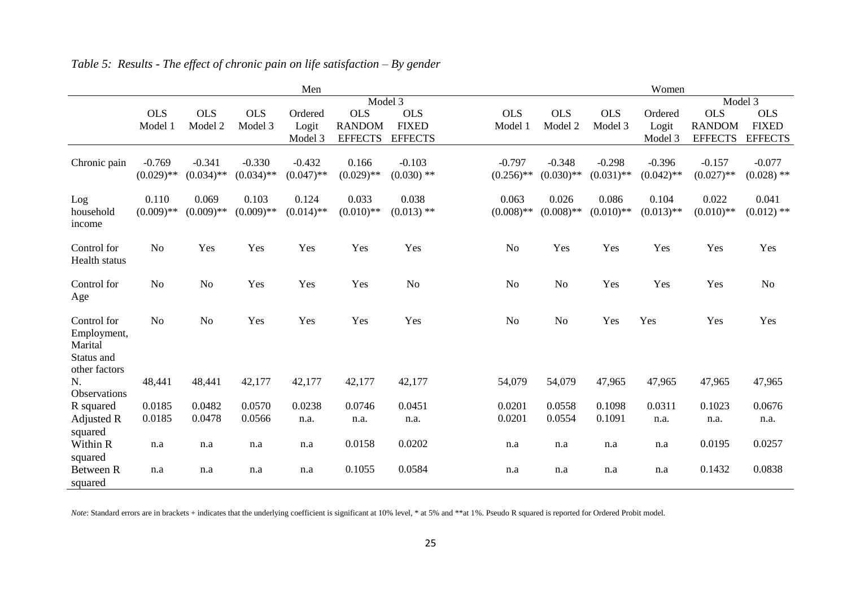|                              |                |                |              | Men          |                |                |                |                |              | Women        |                |                |
|------------------------------|----------------|----------------|--------------|--------------|----------------|----------------|----------------|----------------|--------------|--------------|----------------|----------------|
|                              |                |                |              |              | Model 3        |                |                |                |              |              | Model 3        |                |
|                              | <b>OLS</b>     | <b>OLS</b>     | <b>OLS</b>   | Ordered      | <b>OLS</b>     | <b>OLS</b>     | <b>OLS</b>     | <b>OLS</b>     | <b>OLS</b>   | Ordered      | <b>OLS</b>     | <b>OLS</b>     |
|                              | Model 1        | Model 2        | Model 3      | Logit        | <b>RANDOM</b>  | <b>FIXED</b>   | Model 1        | Model 2        | Model 3      | Logit        | <b>RANDOM</b>  | <b>FIXED</b>   |
|                              |                |                |              | Model 3      | <b>EFFECTS</b> | <b>EFFECTS</b> |                |                |              | Model 3      | <b>EFFECTS</b> | <b>EFFECTS</b> |
| Chronic pain                 | $-0.769$       | $-0.341$       | $-0.330$     | $-0.432$     | 0.166          | $-0.103$       | $-0.797$       | $-0.348$       | $-0.298$     | $-0.396$     | $-0.157$       | $-0.077$       |
|                              | $(0.029)$ **   | $(0.034)$ **   | $(0.034)$ ** | $(0.047)$ ** | $(0.029)$ **   | $(0.030)$ **   | $(0.256)$ **   | $(0.030)$ **   | $(0.031)$ ** | $(0.042)$ ** | $(0.027)$ **   | $(0.028)$ **   |
|                              |                |                |              |              |                |                |                |                |              |              |                |                |
| Log                          | 0.110          | 0.069          | 0.103        | 0.124        | 0.033          | 0.038          | 0.063          | 0.026          | 0.086        | 0.104        | 0.022          | 0.041          |
| household                    | $(0.009)$ **   | $(0.009)$ **   | $(0.009)$ ** | $(0.014)$ ** | $(0.010)$ **   | $(0.013)$ **   | $(0.008)$ **   | $(0.008)$ **   | $(0.010)$ ** | $(0.013)$ ** | $(0.010)**$    | $(0.012)$ **   |
| income                       |                |                |              |              |                |                |                |                |              |              |                |                |
|                              |                |                |              |              |                |                |                |                |              |              |                |                |
| Control for<br>Health status | N <sub>o</sub> | Yes            | Yes          | Yes          | Yes            | Yes            | N <sub>o</sub> | Yes            | Yes          | Yes          | Yes            | Yes            |
|                              |                |                |              |              |                |                |                |                |              |              |                |                |
| Control for                  | N <sub>o</sub> | N <sub>o</sub> | Yes          | Yes          | Yes            | N <sub>o</sub> | N <sub>o</sub> | N <sub>o</sub> | Yes          | Yes          | Yes            | N <sub>o</sub> |
| Age                          |                |                |              |              |                |                |                |                |              |              |                |                |
|                              |                |                |              |              |                |                |                |                |              |              |                |                |
| Control for                  | N <sub>o</sub> | N <sub>o</sub> | Yes          | Yes          | Yes            | Yes            | No             | N <sub>o</sub> | Yes          | Yes          | Yes            | Yes            |
| Employment,                  |                |                |              |              |                |                |                |                |              |              |                |                |
| Marital                      |                |                |              |              |                |                |                |                |              |              |                |                |
| Status and                   |                |                |              |              |                |                |                |                |              |              |                |                |
| other factors<br>N.          | 48,441         | 48,441         | 42,177       | 42,177       | 42,177         | 42,177         | 54,079         | 54,079         | 47,965       | 47,965       | 47,965         | 47,965         |
| Observations                 |                |                |              |              |                |                |                |                |              |              |                |                |
| R squared                    | 0.0185         | 0.0482         | 0.0570       | 0.0238       | 0.0746         | 0.0451         | 0.0201         | 0.0558         | 0.1098       | 0.0311       | 0.1023         | 0.0676         |
| Adjusted R                   | 0.0185         | 0.0478         | 0.0566       | n.a.         | n.a.           | n.a.           | 0.0201         | 0.0554         | 0.1091       | n.a.         | n.a.           | n.a.           |
| squared                      |                |                |              |              |                |                |                |                |              |              |                |                |
| Within R                     | n.a            | n.a            | n.a          | n.a          | 0.0158         | 0.0202         | n.a            | n.a            | n.a          | n.a          | 0.0195         | 0.0257         |
| squared                      |                |                |              |              |                |                |                |                |              |              |                |                |
| Between R                    | n.a            | n.a            | n.a          | n.a          | 0.1055         | 0.0584         | n.a            | n.a            | n.a          | n.a          | 0.1432         | 0.0838         |
| squared                      |                |                |              |              |                |                |                |                |              |              |                |                |

*Table 5: Results - The effect of chronic pain on life satisfaction – By gender*

*Note*: Standard errors are in brackets + indicates that the underlying coefficient is significant at 10% level, \* at 5% and \*\*at 1%. Pseudo R squared is reported for Ordered Probit model.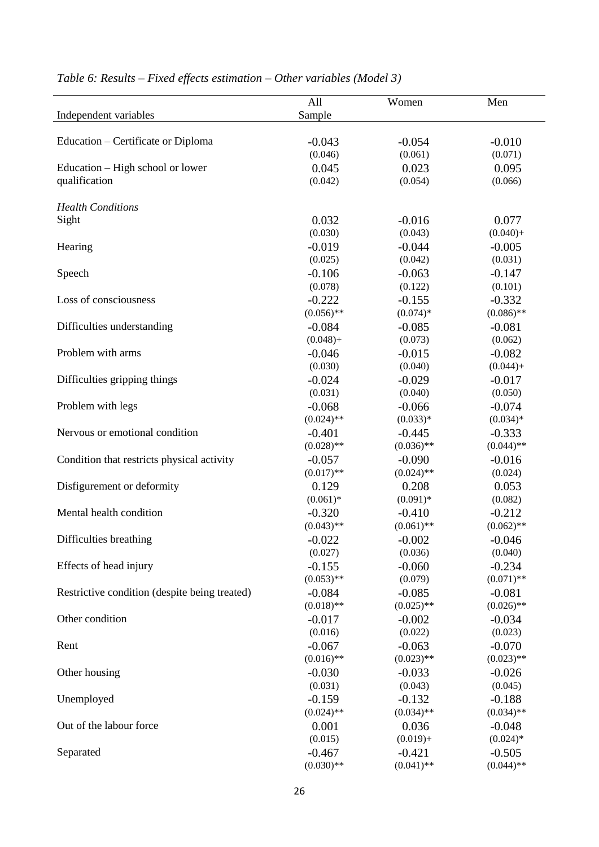|                                               | All                 | Women               | Men                 |
|-----------------------------------------------|---------------------|---------------------|---------------------|
| Independent variables                         | Sample              |                     |                     |
|                                               |                     |                     |                     |
| Education – Certificate or Diploma            | $-0.043$            | $-0.054$            | $-0.010$            |
|                                               | (0.046)             | (0.061)             | (0.071)             |
| Education – High school or lower              | 0.045               | 0.023               | 0.095               |
| qualification                                 | (0.042)             | (0.054)             | (0.066)             |
|                                               |                     |                     |                     |
| <b>Health Conditions</b>                      |                     |                     |                     |
| Sight                                         | 0.032               | $-0.016$            | 0.077               |
|                                               | (0.030)             | (0.043)             | $(0.040) +$         |
| Hearing                                       | $-0.019$            | $-0.044$            | $-0.005$            |
|                                               | (0.025)             | (0.042)             | (0.031)             |
| Speech                                        | $-0.106$            | $-0.063$            | $-0.147$            |
|                                               | (0.078)             | (0.122)             | (0.101)             |
| Loss of consciousness                         | $-0.222$            | $-0.155$            | $-0.332$            |
|                                               | $(0.056)$ **        | $(0.074)*$          | $(0.086)$ **        |
| Difficulties understanding                    | $-0.084$            | $-0.085$            | $-0.081$            |
|                                               | $(0.048) +$         | (0.073)             | (0.062)             |
| Problem with arms                             | $-0.046$            | $-0.015$            | $-0.082$            |
|                                               | (0.030)             | (0.040)             | $(0.044) +$         |
| Difficulties gripping things                  | $-0.024$            | $-0.029$            | $-0.017$            |
|                                               | (0.031)             | (0.040)             | (0.050)             |
| Problem with legs                             | $-0.068$            | $-0.066$            | $-0.074$            |
|                                               | $(0.024)$ **        | $(0.033)*$          | $(0.034)*$          |
| Nervous or emotional condition                | $-0.401$            | $-0.445$            | $-0.333$            |
|                                               | $(0.028)$ **        | $(0.036)$ **        | $(0.044)$ **        |
| Condition that restricts physical activity    | $-0.057$            | $-0.090$            | $-0.016$            |
|                                               | $(0.017)$ **        | $(0.024)$ **        | (0.024)             |
| Disfigurement or deformity                    | 0.129               | 0.208               | 0.053               |
|                                               | $(0.061)*$          | $(0.091)*$          | (0.082)             |
| Mental health condition                       | $-0.320$            | $-0.410$            | $-0.212$            |
|                                               | $(0.043)$ **        | $(0.061)$ **        | $(0.062)$ **        |
| Difficulties breathing                        |                     |                     |                     |
|                                               | $-0.022$<br>(0.027) | $-0.002$<br>(0.036) | $-0.046$<br>(0.040) |
| Effects of head injury                        | $-0.155$            | $-0.060$            | $-0.234$            |
|                                               | $(0.053)$ **        | (0.079)             | $(0.071)$ **        |
| Restrictive condition (despite being treated) | $-0.084$            | $-0.085$            | $-0.081$            |
|                                               | $(0.018)$ **        | $(0.025)$ **        | $(0.026)$ **        |
| Other condition                               | $-0.017$            | $-0.002$            | $-0.034$            |
|                                               | (0.016)             | (0.022)             | (0.023)             |
| Rent                                          | $-0.067$            | $-0.063$            | $-0.070$            |
|                                               | $(0.016)$ **        | $(0.023)$ **        | $(0.023)$ **        |
|                                               | $-0.030$            |                     |                     |
| Other housing                                 | (0.031)             | $-0.033$<br>(0.043) | $-0.026$<br>(0.045) |
|                                               |                     |                     |                     |
| Unemployed                                    | $-0.159$            | $-0.132$            | $-0.188$            |
|                                               | $(0.024)$ **        | $(0.034)$ **        | $(0.034)$ **        |
| Out of the labour force                       | 0.001               | 0.036               | $-0.048$            |
|                                               | (0.015)             | $(0.019) +$         | $(0.024)*$          |
| Separated                                     | $-0.467$            | $-0.421$            | $-0.505$            |
|                                               | $(0.030)$ **        | $(0.041)$ **        | $(0.044)$ **        |

# *Table 6: Results – Fixed effects estimation – Other variables (Model 3)*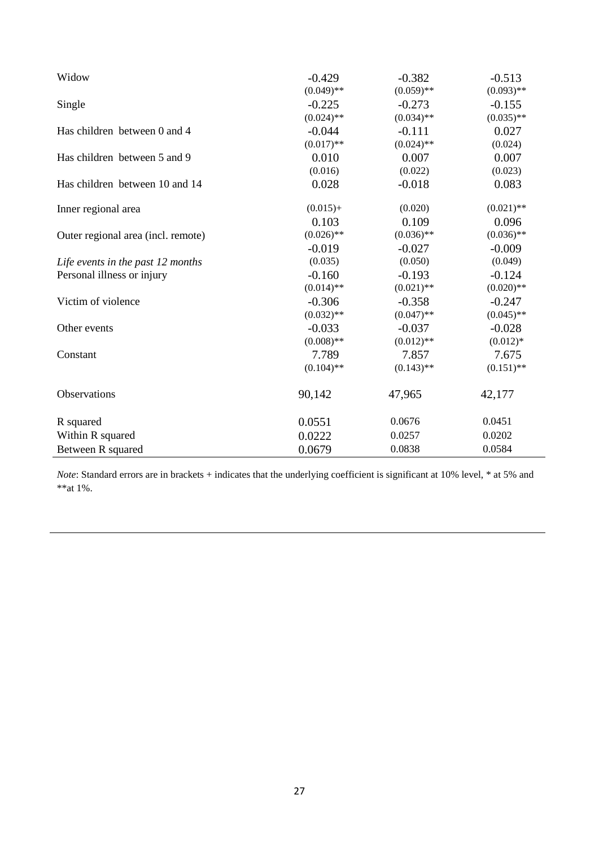| Widow                              | $-0.429$     | $-0.382$     | $-0.513$     |
|------------------------------------|--------------|--------------|--------------|
|                                    | $(0.049)$ ** | $(0.059)$ ** | $(0.093)$ ** |
| Single                             | $-0.225$     | $-0.273$     | $-0.155$     |
|                                    | $(0.024)$ ** | $(0.034)$ ** | $(0.035)$ ** |
| Has children between 0 and 4       | $-0.044$     | $-0.111$     | 0.027        |
|                                    | $(0.017)$ ** | $(0.024)$ ** | (0.024)      |
| Has children between 5 and 9       | 0.010        | 0.007        | 0.007        |
|                                    | (0.016)      | (0.022)      | (0.023)      |
| Has children between 10 and 14     | 0.028        | $-0.018$     | 0.083        |
| Inner regional area                | $(0.015) +$  | (0.020)      | $(0.021)$ ** |
|                                    | 0.103        | 0.109        | 0.096        |
| Outer regional area (incl. remote) | $(0.026)$ ** | $(0.036)$ ** | $(0.036)$ ** |
|                                    | $-0.019$     | $-0.027$     | $-0.009$     |
| Life events in the past 12 months  | (0.035)      | (0.050)      | (0.049)      |
| Personal illness or injury         | $-0.160$     | $-0.193$     | $-0.124$     |
|                                    | $(0.014)$ ** | $(0.021)$ ** | $(0.020)$ ** |
| Victim of violence                 | $-0.306$     | $-0.358$     | $-0.247$     |
|                                    | $(0.032)$ ** | $(0.047)$ ** | $(0.045)$ ** |
| Other events                       | $-0.033$     | $-0.037$     | $-0.028$     |
|                                    | $(0.008)$ ** | $(0.012)$ ** | $(0.012)*$   |
| Constant                           | 7.789        | 7.857        | 7.675        |
|                                    | $(0.104)$ ** | $(0.143)$ ** | $(0.151)$ ** |
| Observations                       | 90,142       | 47,965       | 42,177       |
| R squared                          | 0.0551       | 0.0676       | 0.0451       |
| Within R squared                   | 0.0222       | 0.0257       | 0.0202       |
| Between R squared                  | 0.0679       | 0.0838       | 0.0584       |

*Note*: Standard errors are in brackets + indicates that the underlying coefficient is significant at 10% level, \* at 5% and \*\*at 1%.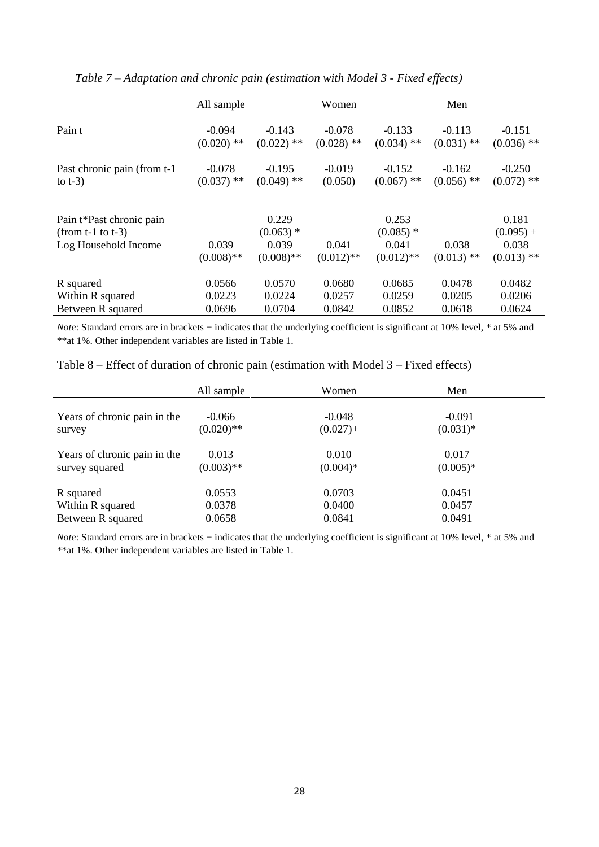|                                                                            | All sample            |                                               | Women                 |                                               | Men                   |                                               |
|----------------------------------------------------------------------------|-----------------------|-----------------------------------------------|-----------------------|-----------------------------------------------|-----------------------|-----------------------------------------------|
| Pain t                                                                     | $-0.094$              | $-0.143$                                      | $-0.078$              | $-0.133$                                      | $-0.113$              | $-0.151$                                      |
|                                                                            | $(0.020)$ **          | $(0.022)$ **                                  | $(0.028)$ **          | $(0.034)$ **                                  | $(0.031)$ **          | $(0.036)$ **                                  |
| Past chronic pain (from t-1)                                               | $-0.078$              | $-0.195$                                      | $-0.019$              | $-0.152$                                      | $-0.162$              | $-0.250$                                      |
| to $t-3$ )                                                                 | $(0.037)$ **          | $(0.049)$ **                                  | (0.050)               | $(0.067)$ **                                  | $(0.056)$ **          | $(0.072)$ **                                  |
| Pain t*Past chronic pain<br>(from $t-1$ to $t-3$ )<br>Log Household Income | 0.039<br>$(0.008)$ ** | 0.229<br>$(0.063)$ *<br>0.039<br>$(0.008)$ ** | 0.041<br>$(0.012)$ ** | 0.253<br>$(0.085)$ *<br>0.041<br>$(0.012)$ ** | 0.038<br>$(0.013)$ ** | 0.181<br>$(0.095) +$<br>0.038<br>$(0.013)$ ** |
| R squared                                                                  | 0.0566                | 0.0570                                        | 0.0680                | 0.0685                                        | 0.0478                | 0.0482                                        |
| Within R squared                                                           | 0.0223                | 0.0224                                        | 0.0257                | 0.0259                                        | 0.0205                | 0.0206                                        |
| Between R squared                                                          | 0.0696                | 0.0704                                        | 0.0842                | 0.0852                                        | 0.0618                | 0.0624                                        |

*Table 7 – Adaptation and chronic pain (estimation with Model 3 - Fixed effects)* 

*Note*: Standard errors are in brackets + indicates that the underlying coefficient is significant at 10% level, \* at 5% and \*\*at 1%. Other independent variables are listed in Table 1.

| Table $8$ – Effect of duration of chronic pain (estimation with Model $3$ – Fixed effects) |  |
|--------------------------------------------------------------------------------------------|--|
|--------------------------------------------------------------------------------------------|--|

|                                                | All sample               | Women                   | Men                     |  |
|------------------------------------------------|--------------------------|-------------------------|-------------------------|--|
| Years of chronic pain in the<br>survey         | $-0.066$<br>$(0.020)$ ** | $-0.048$<br>$(0.027) +$ | $-0.091$<br>$(0.031)$ * |  |
| Years of chronic pain in the<br>survey squared | 0.013<br>$(0.003)$ **    | 0.010<br>$(0.004)*$     | 0.017<br>$(0.005)*$     |  |
| R squared                                      | 0.0553                   | 0.0703                  | 0.0451                  |  |
| Within R squared                               | 0.0378                   | 0.0400                  | 0.0457                  |  |
| Between R squared                              | 0.0658                   | 0.0841                  | 0.0491                  |  |

*Note*: Standard errors are in brackets + indicates that the underlying coefficient is significant at 10% level, \* at 5% and \*\*at 1%. Other independent variables are listed in Table 1.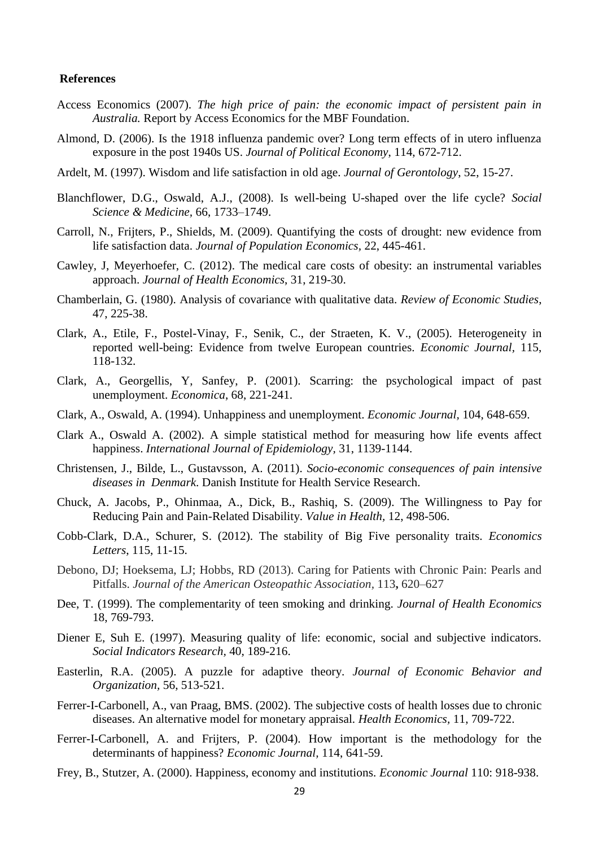#### **References**

- Access Economics (2007). *The high price of pain: the economic impact of persistent pain in Australia.* Report by Access Economics for the MBF Foundation.
- Almond, D. (2006). Is the 1918 influenza pandemic over? Long term effects of in utero influenza exposure in the post 1940s US. *Journal of Political Economy*, 114, 672-712.
- Ardelt, M. (1997). Wisdom and life satisfaction in old age. *Journal of Gerontology*, 52, 15-27.
- Blanchflower, D.G., Oswald, A.J., (2008). Is well-being U-shaped over the life cycle? *Social Science & Medicine,* 66, 1733–1749.
- Carroll, N., Frijters, P., Shields, M. (2009). Quantifying the costs of drought: new evidence from life satisfaction data. *Journal of Population Economics,* 22, 445-461.
- Cawley, J, Meyerhoefer, C. (2012). The medical care costs of obesity: an instrumental variables approach. *[Journal of Health Econo](http://www.ncbi.nlm.nih.gov/pubmed/22094013)mics*, 31, 219-30.
- Chamberlain, G. (1980). Analysis of covariance with qualitative data. *Review of Economic Studies*, 47, 225-38.
- Clark, A., Etile, F., Postel-Vinay, F., Senik, C., der Straeten, K. V., (2005). Heterogeneity in reported well-being: Evidence from twelve European countries. *Economic Journal,* 115, 118-132.
- Clark, A., Georgellis, Y, Sanfey, P. (2001). Scarring: the psychological impact of past unemployment. *Economica*, 68, 221-241.
- Clark, A., Oswald, A. (1994). Unhappiness and unemployment. *Economic Journal,* 104, 648-659.
- Clark A., Oswald A. (2002). A simple statistical method for measuring how life events affect happiness. *International Journal of Epidemiology,* 31, 1139-1144.
- Christensen, J., Bilde, L., Gustavsson, A. (2011). *Socio-economic consequences of pain intensive diseases in Denmark*. Danish Institute for Health Service Research.
- Chuck, A. Jacobs, P., Ohinmaa, A., Dick, B., Rashiq, S. (2009). The Willingness to Pay for Reducing Pain and Pain-Related Disability. *Value in Health,* 12, 498-506.
- Cobb-Clark, D.A., Schurer, S. (2012). The stability of Big Five personality traits. *Economics Letters*, 115, 11-15.
- Debono, DJ; Hoeksema, LJ; Hobbs, RD (2013). Caring for Patients with Chronic Pain: Pearls and Pitfalls. *Journal of the American Osteopathic Association,* 113**,** 620–627
- Dee, T. (1999). The complementarity of teen smoking and drinking. *Journal of Health Economics* 18, 769-793.
- Diener E, Suh E. (1997). Measuring quality of life: economic, social and subjective indicators. *Social Indicators Research,* 40, 189-216.
- Easterlin, R.A. (2005). A puzzle for adaptive theory. *Journal of Economic Behavior and Organization,* 56, 513-521.
- Ferrer-I-Carbonell, A., van Praag, BMS. (2002). The subjective costs of health losses due to chronic diseases. An alternative model for monetary appraisal. *Health Economics,* 11, 709-722.
- Ferrer-I-Carbonell, A. and Frijters, P. (2004). How important is the methodology for the determinants of happiness? *Economic Journal,* 114, 641-59.
- Frey, B., Stutzer, A. (2000). Happiness, economy and institutions. *Economic Journal* 110: 918-938.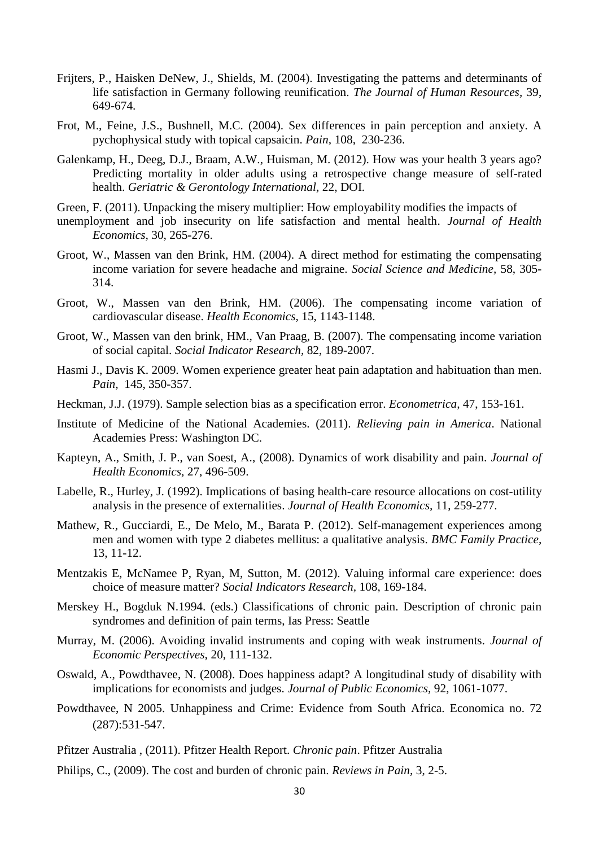- Frijters, P., Haisken DeNew, J., Shields, M. (2004). Investigating the patterns and determinants of life satisfaction in Germany following reunification. *The Journal of Human Resources,* 39, 649-674.
- Frot, M., Feine, J.S., Bushnell, M.C. (2004). Sex differences in pain perception and anxiety. A pychophysical study with topical capsaicin. *Pain,* 108, 230-236.
- Galenkamp, H., Deeg, D.J., Braam, A.W., Huisman, M. (2012). How was your health 3 years ago? Predicting mortality in older adults using a retrospective change measure of self-rated health. *Geriatric & Gerontology International,* 22, DOI.
- Green, F. (2011). Unpacking the misery multiplier: How employability modifies the impacts of
- unemployment and job insecurity on life satisfaction and mental health. *Journal of Health Economics,* 30, 265-276.
- Groot, W., Massen van den Brink, HM. (2004). A direct method for estimating the compensating income variation for severe headache and migraine. *Social Science and Medicine,* 58, 305- 314.
- Groot, W., Massen van den Brink, HM. (2006). The compensating income variation of cardiovascular disease. *Health Economics,* 15, 1143-1148.
- Groot, W., Massen van den brink, HM., Van Praag, B. (2007). The compensating income variation of social capital. *Social Indicator Research,* 82, 189-2007.
- Hasmi J., Davis K. 2009. Women experience greater heat pain adaptation and habituation than men. *Pain,* 145, 350-357.
- Heckman, J.J. (1979). Sample selection bias as a specification error. *Econometrica,* 47, 153-161.
- Institute of Medicine of the National Academies. (2011). *Relieving pain in America*. National Academies Press: Washington DC.
- Kapteyn, A., Smith, J. P., van Soest, A., (2008). Dynamics of work disability and pain. *Journal of Health Economics,* 27, 496-509.
- Labelle, R., Hurley, J. (1992). Implications of basing health-care resource allocations on cost-utility analysis in the presence of externalities. *Journal of Health Economics,* 11, 259-277.
- Mathew, R., Gucciardi, E., De Melo, M., Barata P. (2012). Self-management experiences among men and women with type 2 diabetes mellitus: a qualitative analysis. *BMC Family Practice,* 13, 11-12.
- Mentzakis E, McNamee P, Ryan, M, Sutton, M. (2012). Valuing informal care experience: does choice of measure matter? *Social Indicators Research,* 108, 169-184.
- Merskey H., Bogduk N.1994. (eds.) Classifications of chronic pain. Description of chronic pain syndromes and definition of pain terms, Ias Press: Seattle
- Murray, M. (2006). Avoiding invalid instruments and coping with weak instruments. *Journal of Economic Perspectives*, 20, 111-132.
- Oswald, A., Powdthavee, N. (2008). Does happiness adapt? A longitudinal study of disability with implications for economists and judges. *Journal of Public Economics,* 92, 1061-1077.
- Powdthavee, N 2005. Unhappiness and Crime: Evidence from South Africa. Economica no. 72 (287):531-547.
- Pfitzer Australia , (2011). Pfitzer Health Report. *Chronic pain*. Pfitzer Australia
- Philips, C., (2009). The cost and burden of chronic pain*. Reviews in Pain,* 3, 2-5.